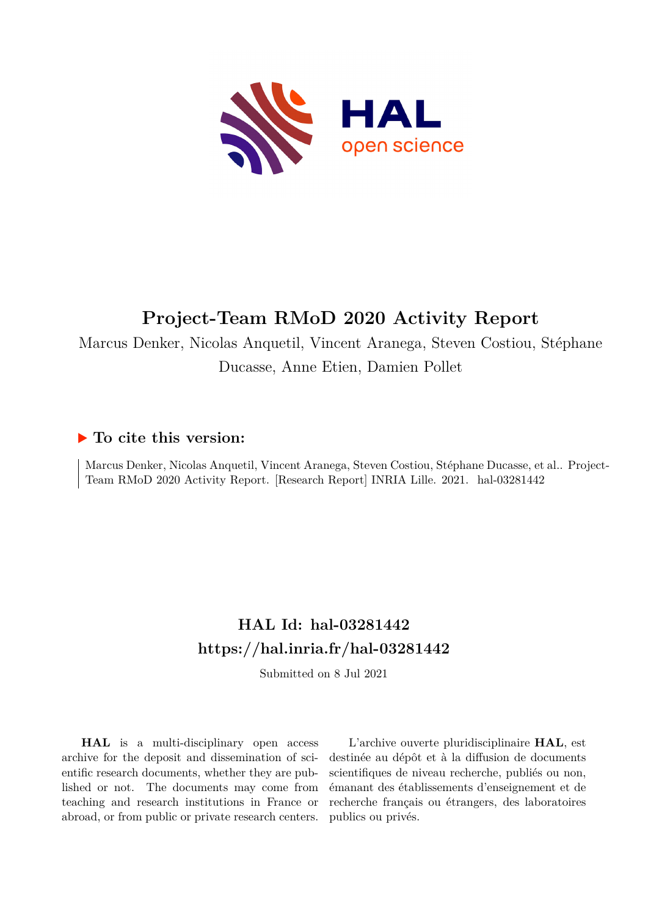

# **Project-Team RMoD 2020 Activity Report**

Marcus Denker, Nicolas Anquetil, Vincent Aranega, Steven Costiou, Stéphane Ducasse, Anne Etien, Damien Pollet

# **To cite this version:**

Marcus Denker, Nicolas Anquetil, Vincent Aranega, Steven Costiou, Stéphane Ducasse, et al.. Project-Team RMoD 2020 Activity Report. [Research Report] INRIA Lille. 2021. hal-03281442

# **HAL Id: hal-03281442 <https://hal.inria.fr/hal-03281442>**

Submitted on 8 Jul 2021

**HAL** is a multi-disciplinary open access archive for the deposit and dissemination of scientific research documents, whether they are published or not. The documents may come from teaching and research institutions in France or abroad, or from public or private research centers.

L'archive ouverte pluridisciplinaire **HAL**, est destinée au dépôt et à la diffusion de documents scientifiques de niveau recherche, publiés ou non, émanant des établissements d'enseignement et de recherche français ou étrangers, des laboratoires publics ou privés.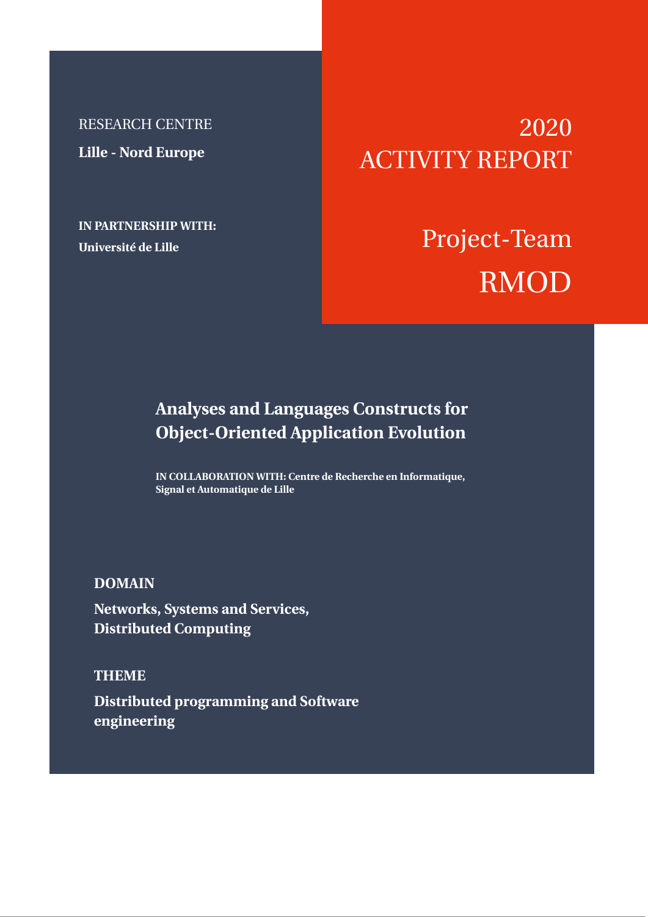RESEARCH CENTRE **Lille - Nord Europe**

**IN PARTNERSHIP WITH: Université de Lille**

# 2020 ACTIVITY REPORT

# Project-Team RMOD

# **Analyses and Languages Constructs for Object-Oriented Application Evolution**

**IN COLLABORATION WITH: Centre de Recherche en Informatique, Signal et Automatique de Lille**

**DOMAIN**

**Networks, Systems and Services, Distributed Computing**

**THEME**

**Distributed programming and Software engineering**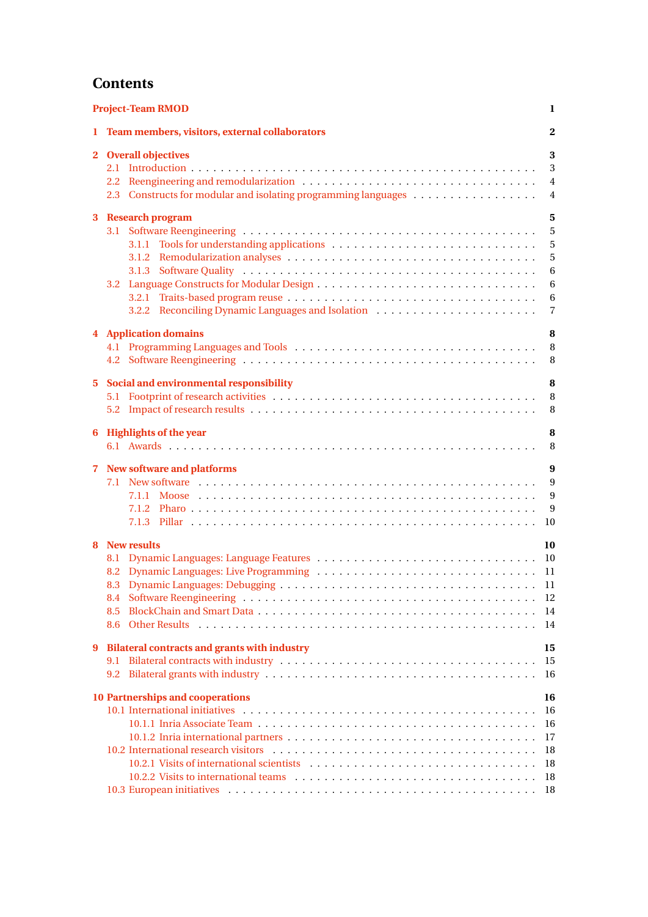# **Contents**

|    | <b>Project-Team RMOD</b>                                                                                                                                                                                                                                                  | 1                                                 |
|----|---------------------------------------------------------------------------------------------------------------------------------------------------------------------------------------------------------------------------------------------------------------------------|---------------------------------------------------|
|    | 1 Team members, visitors, external collaborators                                                                                                                                                                                                                          | $\overline{2}$                                    |
|    | 2 Overall objectives                                                                                                                                                                                                                                                      | 3<br>3<br>$\overline{4}$<br>$\overline{4}$        |
|    | 3 Research program<br>3.2.2 Reconciling Dynamic Languages and Isolation                                                                                                                                                                                                   | 5<br>5<br>5<br>5<br>6<br>6<br>6<br>$\overline{7}$ |
|    | <b>4</b> Application domains                                                                                                                                                                                                                                              | 8<br>8<br>8                                       |
| 5. | Social and environmental responsibility                                                                                                                                                                                                                                   | 8<br>-8<br>8                                      |
|    | 6 Highlights of the year                                                                                                                                                                                                                                                  | 8<br>8                                            |
| 7  | <b>New software and platforms</b>                                                                                                                                                                                                                                         | 9<br>9<br>9<br>9<br>-10                           |
|    | 8 New results<br>8.4<br>8.5                                                                                                                                                                                                                                               | 10                                                |
| 9  | <b>Bilateral contracts and grants with industry</b><br>9.1                                                                                                                                                                                                                | 15<br>15<br>16                                    |
|    | <b>10 Partnerships and cooperations</b><br>10.1 International initiatives exceptional contact to contact the contact of the contact of the contact of the contact of the contact of the contact of the contact of the contact of the contact of the contact of the contac | 16<br>16<br>16<br>17<br>18<br>18                  |
|    |                                                                                                                                                                                                                                                                           | 18<br>18                                          |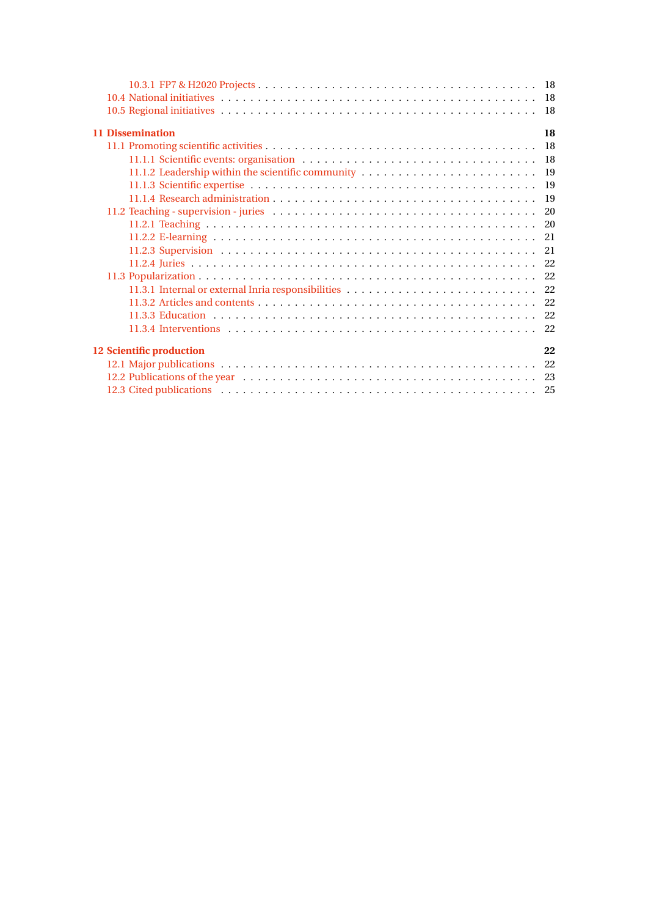| <b>11 Dissemination</b><br>18   |    |  |  |  |
|---------------------------------|----|--|--|--|
|                                 |    |  |  |  |
|                                 |    |  |  |  |
|                                 |    |  |  |  |
|                                 |    |  |  |  |
|                                 |    |  |  |  |
|                                 |    |  |  |  |
|                                 |    |  |  |  |
|                                 |    |  |  |  |
|                                 |    |  |  |  |
|                                 |    |  |  |  |
|                                 |    |  |  |  |
|                                 |    |  |  |  |
|                                 |    |  |  |  |
|                                 |    |  |  |  |
|                                 |    |  |  |  |
|                                 | 22 |  |  |  |
| <b>12 Scientific production</b> |    |  |  |  |
|                                 |    |  |  |  |
|                                 |    |  |  |  |
|                                 |    |  |  |  |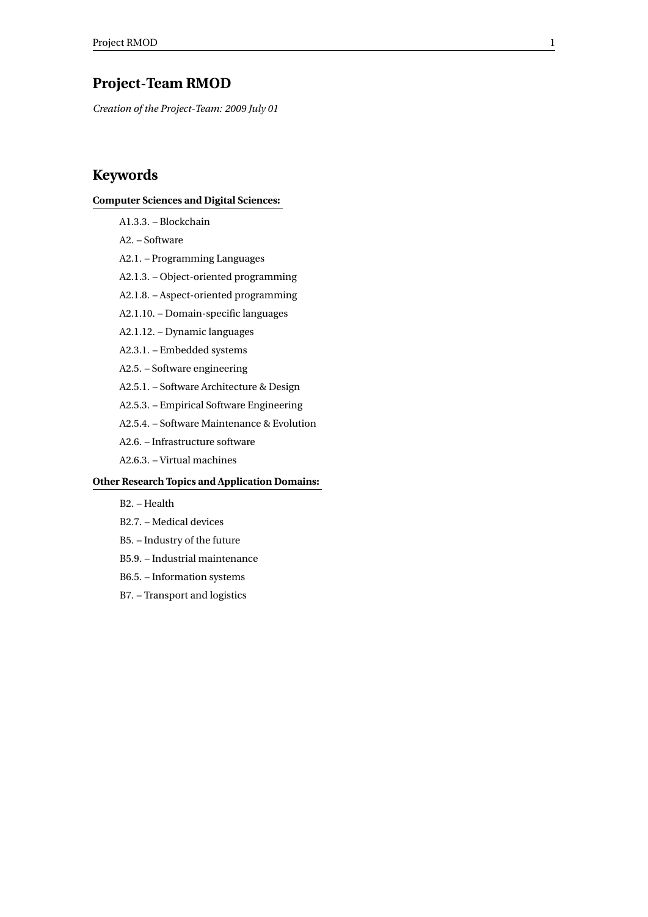# **Project-Team RMOD**

*Creation of the Project-Team: 2009 July 01*

# **Keywords**

#### **Computer Sciences and Digital Sciences:**

- A1.3.3. Blockchain
- A2. Software
- A2.1. Programming Languages
- A2.1.3. Object-oriented programming
- A2.1.8. Aspect-oriented programming
- A2.1.10. Domain-specific languages
- A2.1.12. Dynamic languages
- A2.3.1. Embedded systems
- A2.5. Software engineering
- A2.5.1. Software Architecture & Design
- A2.5.3. Empirical Software Engineering
- A2.5.4. Software Maintenance & Evolution
- A2.6. Infrastructure software
- A2.6.3. Virtual machines

#### **Other Research Topics and Application Domains:**

- B2. Health
- B2.7. Medical devices
- B5. Industry of the future
- B5.9. Industrial maintenance
- B6.5. Information systems
- B7. Transport and logistics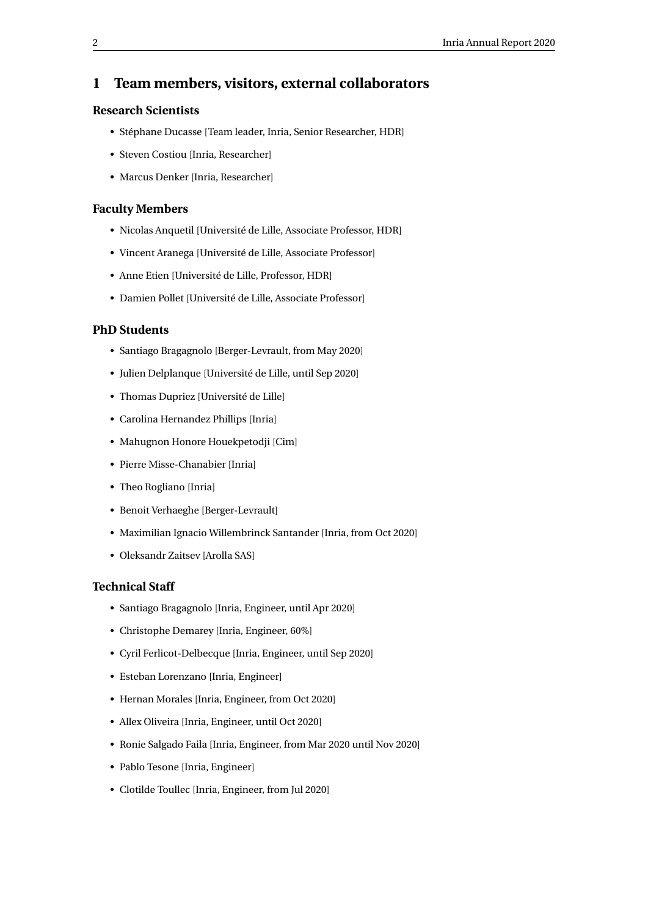# **1 Team members, visitors, external collaborators**

#### **Research Scientists**

- Stéphane Ducasse [Team leader, Inria, Senior Researcher, HDR]
- Steven Costiou [Inria, Researcher]
- Marcus Denker [Inria, Researcher]

#### **Faculty Members**

- Nicolas Anquetil [Université de Lille, Associate Professor, HDR]
- Vincent Aranega [Université de Lille, Associate Professor]
- Anne Etien [Université de Lille, Professor, HDR]
- Damien Pollet [Université de Lille, Associate Professor]

#### **PhD Students**

- Santiago Bragagnolo [Berger-Levrault, from May 2020]
- Julien Delplanque [Université de Lille, until Sep 2020]
- Thomas Dupriez [Université de Lille]
- Carolina Hernandez Phillips [Inria]
- Mahugnon Honore Houekpetodji [Cim]
- Pierre Misse-Chanabier [Inria]
- Theo Rogliano [Inria]
- Benoit Verhaeghe [Berger-Levrault]
- Maximilian Ignacio Willembrinck Santander [Inria, from Oct 2020]
- Oleksandr Zaitsev [Arolla SAS]

#### **Technical Staff**

- Santiago Bragagnolo [Inria, Engineer, until Apr 2020]
- Christophe Demarey [Inria, Engineer, 60%]
- Cyril Ferlicot-Delbecque [Inria, Engineer, until Sep 2020]
- Esteban Lorenzano [Inria, Engineer]
- Hernan Morales [Inria, Engineer, from Oct 2020]
- Allex Oliveira [Inria, Engineer, until Oct 2020]
- Ronie Salgado Faila [Inria, Engineer, from Mar 2020 until Nov 2020]
- Pablo Tesone [Inria, Engineer]
- Clotilde Toullec [Inria, Engineer, from Jul 2020]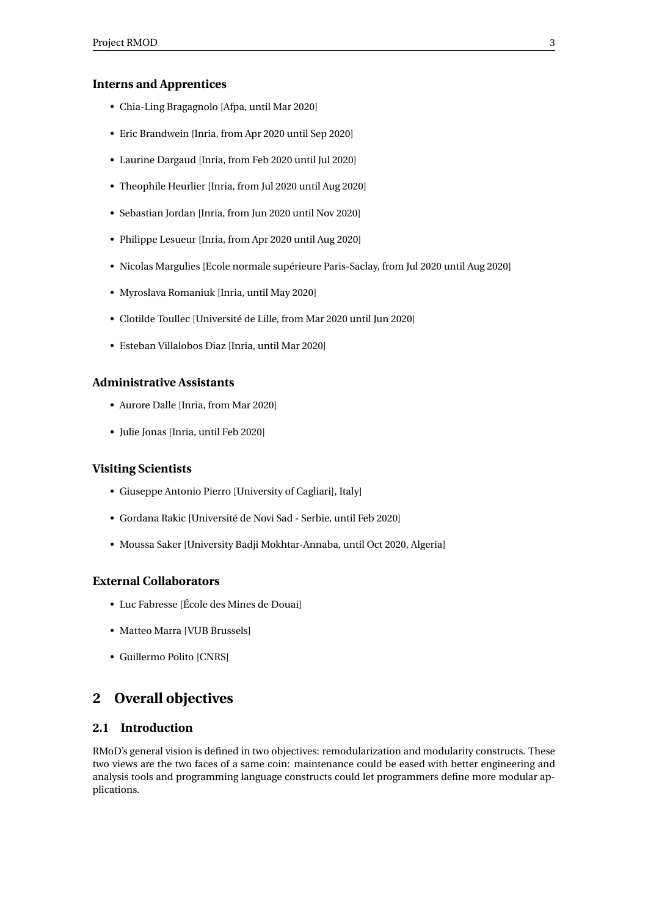#### **Interns and Apprentices**

- Chia-Ling Bragagnolo [Afpa, until Mar 2020]
- Eric Brandwein [Inria, from Apr 2020 until Sep 2020]
- Laurine Dargaud [Inria, from Feb 2020 until Jul 2020]
- Theophile Heurlier [Inria, from Jul 2020 until Aug 2020]
- Sebastian Jordan [Inria, from Jun 2020 until Nov 2020]
- Philippe Lesueur [Inria, from Apr 2020 until Aug 2020]
- Nicolas Margulies [Ecole normale supérieure Paris-Saclay, from Jul 2020 until Aug 2020]
- Myroslava Romaniuk [Inria, until May 2020]
- Clotilde Toullec [Université de Lille, from Mar 2020 until Jun 2020]
- Esteban Villalobos Diaz [Inria, until Mar 2020]

#### **Administrative Assistants**

- Aurore Dalle [Inria, from Mar 2020]
- Julie Jonas [Inria, until Feb 2020]

#### **Visiting Scientists**

- Giuseppe Antonio Pierro [University of Cagliari], Italy]
- Gordana Rakic [Université de Novi Sad Serbie, until Feb 2020]
- Moussa Saker [University Badji Mokhtar-Annaba, until Oct 2020, Algeria]

#### **External Collaborators**

- Luc Fabresse [École des Mines de Douai]
- Matteo Marra [VUB Brussels]
- Guillermo Polito [CNRS]

# **2 Overall objectives**

## **2.1 Introduction**

RMoD's general vision is defined in two objectives: remodularization and modularity constructs. These two views are the two faces of a same coin: maintenance could be eased with better engineering and analysis tools and programming language constructs could let programmers define more modular applications.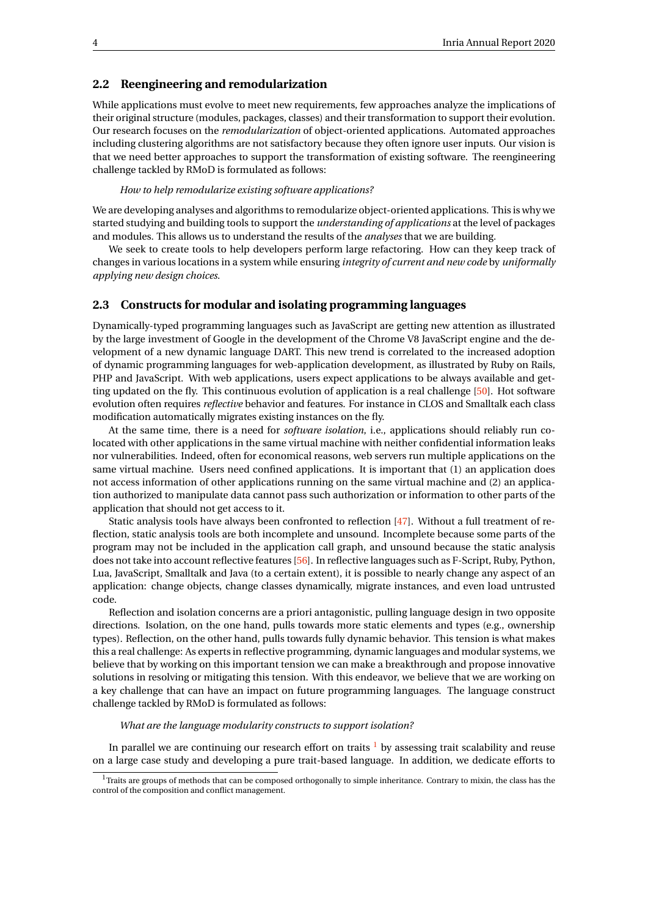#### **2.2 Reengineering and remodularization**

While applications must evolve to meet new requirements, few approaches analyze the implications of their original structure (modules, packages, classes) and their transformation to support their evolution. Our research focuses on the *remodularization* of object-oriented applications. Automated approaches including clustering algorithms are not satisfactory because they often ignore user inputs. Our vision is that we need better approaches to support the transformation of existing software. The reengineering challenge tackled by RMoD is formulated as follows:

#### *How to help remodularize existing software applications?*

We are developing analyses and algorithms to remodularize object-oriented applications. This is why we started studying and building tools to support the *understanding of applications* at the level of packages and modules. This allows us to understand the results of the *analyses* that we are building.

We seek to create tools to help developers perform large refactoring. How can they keep track of changes in various locations in a system while ensuring *integrity of current and new code* by *uniformally applying new design choices*.

#### **2.3 Constructs for modular and isolating programming languages**

Dynamically-typed programming languages such as JavaScript are getting new attention as illustrated by the large investment of Google in the development of the Chrome V8 JavaScript engine and the development of a new dynamic language DART. This new trend is correlated to the increased adoption of dynamic programming languages for web-application development, as illustrated by Ruby on Rails, PHP and JavaScript. With web applications, users expect applications to be always available and getting updated on the fly. This continuous evolution of application is a real challenge [50]. Hot software evolution often requires *reflective* behavior and features. For instance in CLOS and Smalltalk each class modification automatically migrates existing instances on the fly.

At the same time, there is a need for *software isolation*, i.e., applications should reliably run colocated with other applications in the same virtual machine with neither confidential information leaks nor vulnerabilities. Indeed, often for economical reasons, web servers run multiple applications on the same virtual machine. Users need confined applications. It is important that (1) an application does not access information of other applications running on the same virtual machine and (2) an application authorized to manipulate data cannot pass such authorization or information to other parts of the application that should not get access to it.

Static analysis tools have always been confronted to reflection [47]. Without a full treatment of reflection, static analysis tools are both incomplete and unsound. Incomplete because some parts of the program may not be included in the application call graph, and unsound because the static analysis does not take into account reflective features [56]. In reflective languages such as F-Script, Ruby, Python, Lua, JavaScript, Smalltalk and Java (to a certain extent), it is possible to nearly change any aspect of an application: change objects, change classes dynamically, migrate instances, and even load untrusted code.

Reflection and isolation concerns are a priori antagonistic, pulling language design in two opposite directions. Isolation, on the one hand, pulls towards more static elements and types (e.g., ownership types). Reflection, on the other hand, pulls towards fully dynamic behavior. This tension is what makes this a real challenge: As experts in reflective programming, dynamic languages and modular systems, we believe that by working on this important tension we can make a breakthrough and propose innovative solutions in resolving or mitigating this tension. With this endeavor, we believe that we are working on a key challenge that can have an impact on future programming languages. The language construct challenge tackled by RMoD is formulated as follows:

#### *What are the language modularity constructs to support isolation?*

In parallel we are continuing our research effort on traits  $\frac{1}{1}$  by assessing trait scalability and reuse on a large case study and developing a pure trait-based language. In addition, we dedicate efforts to

 $1$ Traits are groups of methods that can be composed orthogonally to simple inheritance. Contrary to mixin, the class has the control of the composition and conflict management.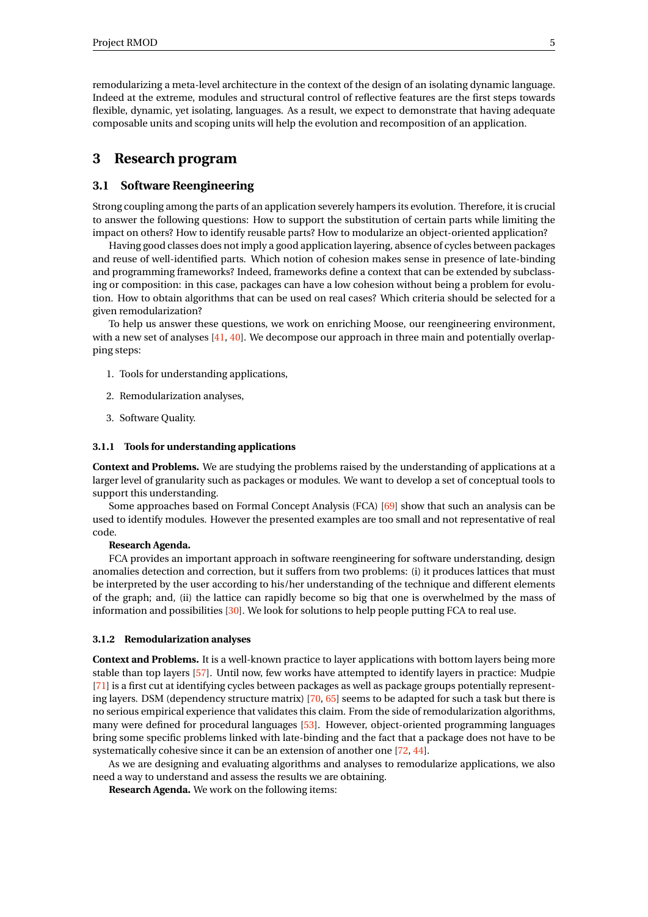remodularizing a meta-level architecture in the context of the design of an isolating dynamic language. Indeed at the extreme, modules and structural control of reflective features are the first steps towards flexible, dynamic, yet isolating, languages. As a result, we expect to demonstrate that having adequate composable units and scoping units will help the evolution and recomposition of an application.

# **3 Research program**

#### **3.1 Software Reengineering**

Strong coupling among the parts of an application severely hampers its evolution. Therefore, it is crucial to answer the following questions: How to support the substitution of certain parts while limiting the impact on others? How to identify reusable parts? How to modularize an object-oriented application?

Having good classes does not imply a good application layering, absence of cycles between packages and reuse of well-identified parts. Which notion of cohesion makes sense in presence of late-binding and programming frameworks? Indeed, frameworks define a context that can be extended by subclassing or composition: in this case, packages can have a low cohesion without being a problem for evolution. How to obtain algorithms that can be used on real cases? Which criteria should be selected for a given remodularization?

To help us answer these questions, we work on enriching Moose, our reengineering environment, with a new set of analyses  $[41, 40]$ . We decompose our approach in three main and potentially overlapping steps:

- 1. Tools for understanding applications,
- 2. Remodularization analyses,
- 3. Software Quality.

#### **3.1.1 Tools for understanding applications**

**Context and Problems.** We are studying the problems raised by the understanding of applications at a larger level of granularity such as packages or modules. We want to develop a set of conceptual tools to support this understanding.

Some approaches based on Formal Concept Analysis (FCA) [69] show that such an analysis can be used to identify modules. However the presented examples are too small and not representative of real code.

#### **Research Agenda.**

FCA provides an important approach in software reengineering for software understanding, design anomalies detection and correction, but it suffers from two problems: (i) it produces lattices that must be interpreted by the user according to his/her understanding of the technique and different elements of the graph; and, (ii) the lattice can rapidly become so big that one is overwhelmed by the mass of information and possibilities [30]. We look for solutions to help people putting FCA to real use.

#### **3.1.2 Remodularization analyses**

**Context and Problems.** It is a well-known practice to layer applications with bottom layers being more stable than top layers [57]. Until now, few works have attempted to identify layers in practice: Mudpie [71] is a first cut at identifying cycles between packages as well as package groups potentially representing layers. DSM (dependency structure matrix) [70, 65] seems to be adapted for such a task but there is no serious empirical experience that validates this claim. From the side of remodularization algorithms, many were defined for procedural languages [53]. However, object-oriented programming languages bring some specific problems linked with late-binding and the fact that a package does not have to be systematically cohesive since it can be an extension of another one [72, 44].

As we are designing and evaluating algorithms and analyses to remodularize applications, we also need a way to understand and assess the results we are obtaining.

**Research Agenda.** We work on the following items: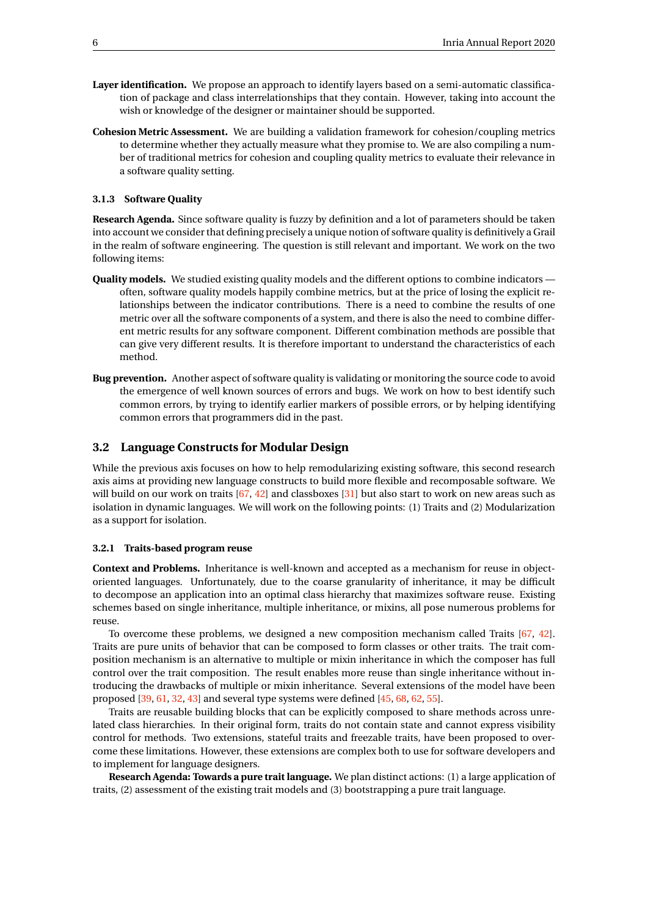- **Layer identification.** We propose an approach to identify layers based on a semi-automatic classification of package and class interrelationships that they contain. However, taking into account the wish or knowledge of the designer or maintainer should be supported.
- **Cohesion Metric Assessment.** We are building a validation framework for cohesion/coupling metrics to determine whether they actually measure what they promise to. We are also compiling a number of traditional metrics for cohesion and coupling quality metrics to evaluate their relevance in a software quality setting.

#### **3.1.3 Software Quality**

**Research Agenda.** Since software quality is fuzzy by definition and a lot of parameters should be taken into account we consider that defining precisely a unique notion of software quality is definitively a Grail in the realm of software engineering. The question is still relevant and important. We work on the two following items:

- **Quality models.** We studied existing quality models and the different options to combine indicators often, software quality models happily combine metrics, but at the price of losing the explicit relationships between the indicator contributions. There is a need to combine the results of one metric over all the software components of a system, and there is also the need to combine different metric results for any software component. Different combination methods are possible that can give very different results. It is therefore important to understand the characteristics of each method.
- **Bug prevention.** Another aspect of software quality is validating or monitoring the source code to avoid the emergence of well known sources of errors and bugs. We work on how to best identify such common errors, by trying to identify earlier markers of possible errors, or by helping identifying common errors that programmers did in the past.

#### **3.2 Language Constructs for Modular Design**

While the previous axis focuses on how to help remodularizing existing software, this second research axis aims at providing new language constructs to build more flexible and recomposable software. We will build on our work on traits [67, 42] and classboxes [31] but also start to work on new areas such as isolation in dynamic languages. We will work on the following points: (1) Traits and (2) Modularization as a support for isolation.

#### **3.2.1 Traits-based program reuse**

**Context and Problems.** Inheritance is well-known and accepted as a mechanism for reuse in objectoriented languages. Unfortunately, due to the coarse granularity of inheritance, it may be difficult to decompose an application into an optimal class hierarchy that maximizes software reuse. Existing schemes based on single inheritance, multiple inheritance, or mixins, all pose numerous problems for reuse.

To overcome these problems, we designed a new composition mechanism called Traits [67, 42]. Traits are pure units of behavior that can be composed to form classes or other traits. The trait composition mechanism is an alternative to multiple or mixin inheritance in which the composer has full control over the trait composition. The result enables more reuse than single inheritance without introducing the drawbacks of multiple or mixin inheritance. Several extensions of the model have been proposed [39, 61, 32, 43] and several type systems were defined [45, 68, 62, 55].

Traits are reusable building blocks that can be explicitly composed to share methods across unrelated class hierarchies. In their original form, traits do not contain state and cannot express visibility control for methods. Two extensions, stateful traits and freezable traits, have been proposed to overcome these limitations. However, these extensions are complex both to use for software developers and to implement for language designers.

**Research Agenda: Towards a pure trait language.** We plan distinct actions: (1) a large application of traits, (2) assessment of the existing trait models and (3) bootstrapping a pure trait language.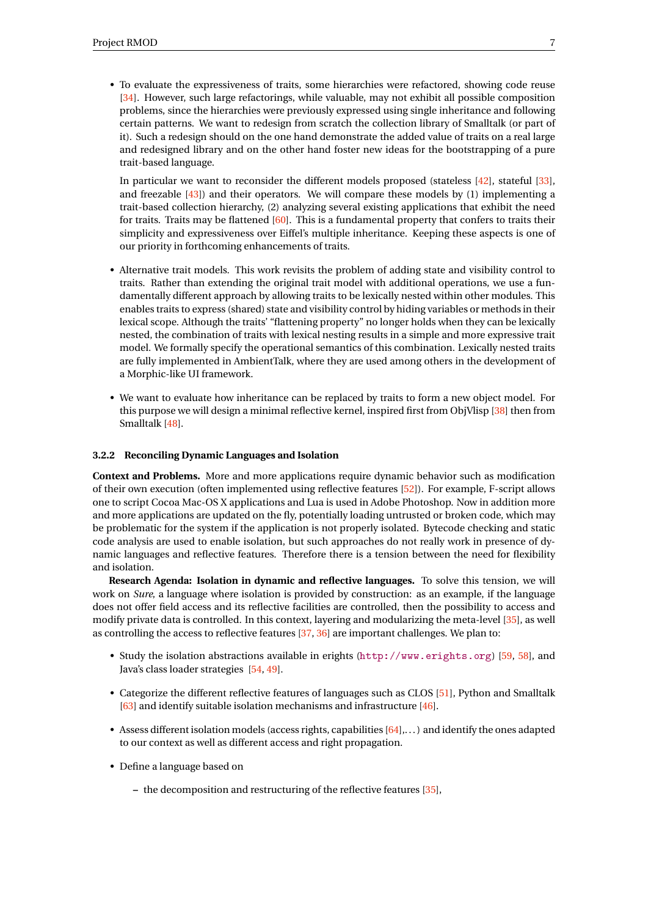• To evaluate the expressiveness of traits, some hierarchies were refactored, showing code reuse [34]. However, such large refactorings, while valuable, may not exhibit all possible composition problems, since the hierarchies were previously expressed using single inheritance and following certain patterns. We want to redesign from scratch the collection library of Smalltalk (or part of it). Such a redesign should on the one hand demonstrate the added value of traits on a real large and redesigned library and on the other hand foster new ideas for the bootstrapping of a pure trait-based language.

In particular we want to reconsider the different models proposed (stateless [42], stateful [33], and freezable [43]) and their operators. We will compare these models by (1) implementing a trait-based collection hierarchy, (2) analyzing several existing applications that exhibit the need for traits. Traits may be flattened  $[60]$ . This is a fundamental property that confers to traits their simplicity and expressiveness over Eiffel's multiple inheritance. Keeping these aspects is one of our priority in forthcoming enhancements of traits.

- Alternative trait models. This work revisits the problem of adding state and visibility control to traits. Rather than extending the original trait model with additional operations, we use a fundamentally different approach by allowing traits to be lexically nested within other modules. This enables traits to express (shared) state and visibility control by hiding variables or methods in their lexical scope. Although the traits' "flattening property" no longer holds when they can be lexically nested, the combination of traits with lexical nesting results in a simple and more expressive trait model. We formally specify the operational semantics of this combination. Lexically nested traits are fully implemented in AmbientTalk, where they are used among others in the development of a Morphic-like UI framework.
- We want to evaluate how inheritance can be replaced by traits to form a new object model. For this purpose we will design a minimal reflective kernel, inspired first from ObjVlisp [38] then from Smalltalk [48].

#### **3.2.2 Reconciling Dynamic Languages and Isolation**

**Context and Problems.** More and more applications require dynamic behavior such as modification of their own execution (often implemented using reflective features [52]). For example, F-script allows one to script Cocoa Mac-OS X applications and Lua is used in Adobe Photoshop. Now in addition more and more applications are updated on the fly, potentially loading untrusted or broken code, which may be problematic for the system if the application is not properly isolated. Bytecode checking and static code analysis are used to enable isolation, but such approaches do not really work in presence of dynamic languages and reflective features. Therefore there is a tension between the need for flexibility and isolation.

**Research Agenda: Isolation in dynamic and reflective languages.** To solve this tension, we will work on *Sure*, a language where isolation is provided by construction: as an example, if the language does not offer field access and its reflective facilities are controlled, then the possibility to access and modify private data is controlled. In this context, layering and modularizing the meta-level [35], as well as controlling the access to reflective features [37, 36] are important challenges. We plan to:

- Study the isolation abstractions available in erights (<http://www.erights.org>) [59, 58], and Java's class loader strategies [54, 49].
- Categorize the different reflective features of languages such as CLOS [51], Python and Smalltalk [63] and identify suitable isolation mechanisms and infrastructure [46].
- Assess different isolation models (access rights, capabilities  $[64]$ ,...) and identify the ones adapted to our context as well as different access and right propagation.
- Define a language based on
	- **–** the decomposition and restructuring of the reflective features [35],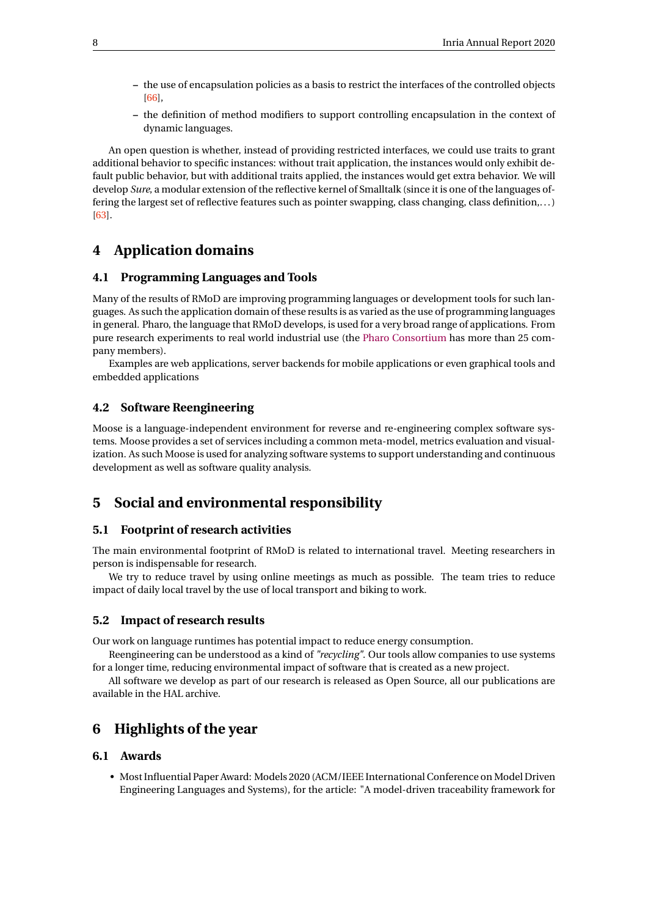- **–** the use of encapsulation policies as a basis to restrict the interfaces of the controlled objects [66],
- **–** the definition of method modifiers to support controlling encapsulation in the context of dynamic languages.

An open question is whether, instead of providing restricted interfaces, we could use traits to grant additional behavior to specific instances: without trait application, the instances would only exhibit default public behavior, but with additional traits applied, the instances would get extra behavior. We will develop *Sure*, a modular extension of the reflective kernel of Smalltalk (since it is one of the languages offering the largest set of reflective features such as pointer swapping, class changing, class definition,...) [63].

# **4 Application domains**

#### **4.1 Programming Languages and Tools**

Many of the results of RMoD are improving programming languages or development tools for such languages. As such the application domain of these results is as varied as the use of programming languages in general. Pharo, the language that RMoD develops, is used for a very broad range of applications. From pure research experiments to real world industrial use (the [Pharo Consortium](http://consortium.pharo.org) has more than 25 company members).

Examples are web applications, server backends for mobile applications or even graphical tools and embedded applications

#### **4.2 Software Reengineering**

Moose is a language-independent environment for reverse and re-engineering complex software systems. Moose provides a set of services including a common meta-model, metrics evaluation and visualization. As such Moose is used for analyzing software systems to support understanding and continuous development as well as software quality analysis.

# **5 Social and environmental responsibility**

#### **5.1 Footprint of research activities**

The main environmental footprint of RMoD is related to international travel. Meeting researchers in person is indispensable for research.

We try to reduce travel by using online meetings as much as possible. The team tries to reduce impact of daily local travel by the use of local transport and biking to work.

#### **5.2 Impact of research results**

Our work on language runtimes has potential impact to reduce energy consumption.

Reengineering can be understood as a kind of *"recycling"*. Our tools allow companies to use systems for a longer time, reducing environmental impact of software that is created as a new project.

All software we develop as part of our research is released as Open Source, all our publications are available in the HAL archive.

# **6 Highlights of the year**

## **6.1 Awards**

• Most Influential Paper Award: Models 2020 (ACM/IEEE International Conference on Model Driven Engineering Languages and Systems), for the article: "A model-driven traceability framework for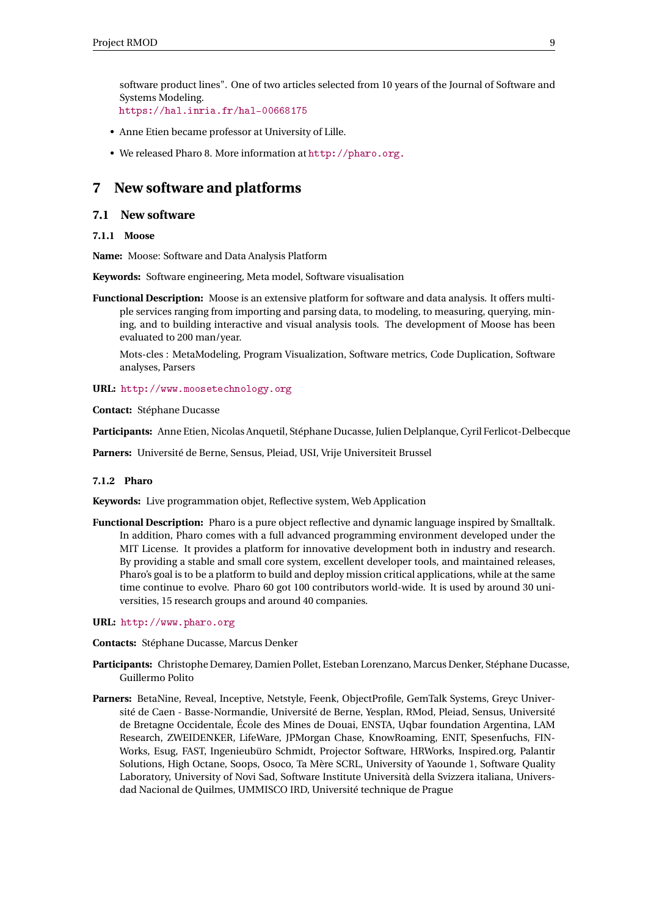software product lines". One of two articles selected from 10 years of the Journal of Software and Systems Modeling.

<https://hal.inria.fr/hal-00668175>

- Anne Etien became professor at University of Lille.
- We released Pharo 8. More information at <http://pharo.org.>

# **7 New software and platforms**

#### **7.1 New software**

#### **7.1.1 Moose**

**Name:** Moose: Software and Data Analysis Platform

**Keywords:** Software engineering, Meta model, Software visualisation

**Functional Description:** Moose is an extensive platform for software and data analysis. It offers multiple services ranging from importing and parsing data, to modeling, to measuring, querying, mining, and to building interactive and visual analysis tools. The development of Moose has been evaluated to 200 man/year.

Mots-cles : MetaModeling, Program Visualization, Software metrics, Code Duplication, Software analyses, Parsers

**URL:** <http://www.moosetechnology.org>

**Contact:** Stéphane Ducasse

**Participants:** Anne Etien, Nicolas Anquetil, Stéphane Ducasse, Julien Delplanque, Cyril Ferlicot-Delbecque

**Parners:** Université de Berne, Sensus, Pleiad, USI, Vrije Universiteit Brussel

#### **7.1.2 Pharo**

**Keywords:** Live programmation objet, Reflective system, Web Application

**Functional Description:** Pharo is a pure object reflective and dynamic language inspired by Smalltalk. In addition, Pharo comes with a full advanced programming environment developed under the MIT License. It provides a platform for innovative development both in industry and research. By providing a stable and small core system, excellent developer tools, and maintained releases, Pharo's goal is to be a platform to build and deploy mission critical applications, while at the same time continue to evolve. Pharo 60 got 100 contributors world-wide. It is used by around 30 universities, 15 research groups and around 40 companies.

**URL:** <http://www.pharo.org>

**Contacts:** Stéphane Ducasse, Marcus Denker

- **Participants:** Christophe Demarey, Damien Pollet, Esteban Lorenzano, Marcus Denker, Stéphane Ducasse, Guillermo Polito
- **Parners:** BetaNine, Reveal, Inceptive, Netstyle, Feenk, ObjectProfile, GemTalk Systems, Greyc Université de Caen - Basse-Normandie, Université de Berne, Yesplan, RMod, Pleiad, Sensus, Université de Bretagne Occidentale, École des Mines de Douai, ENSTA, Uqbar foundation Argentina, LAM Research, ZWEIDENKER, LifeWare, JPMorgan Chase, KnowRoaming, ENIT, Spesenfuchs, FIN-Works, Esug, FAST, Ingenieubüro Schmidt, Projector Software, HRWorks, Inspired.org, Palantir Solutions, High Octane, Soops, Osoco, Ta Mère SCRL, University of Yaounde 1, Software Quality Laboratory, University of Novi Sad, Software Institute Università della Svizzera italiana, Universdad Nacional de Quilmes, UMMISCO IRD, Université technique de Prague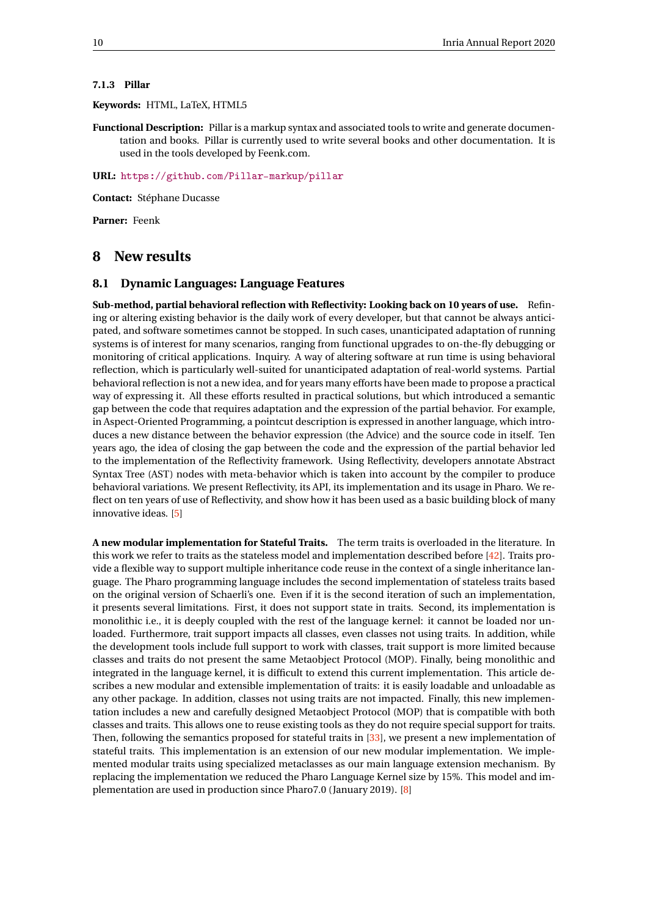#### **7.1.3 Pillar**

**Keywords:** HTML, LaTeX, HTML5

**Functional Description:** Pillar is a markup syntax and associated tools to write and generate documentation and books. Pillar is currently used to write several books and other documentation. It is used in the tools developed by Feenk.com.

**URL:** <https://github.com/Pillar-markup/pillar>

**Contact:** Stéphane Ducasse

**Parner:** Feenk

# **8 New results**

#### **8.1 Dynamic Languages: Language Features**

**Sub-method, partial behavioral reflection with Reflectivity: Looking back on 10 years of use.** Refining or altering existing behavior is the daily work of every developer, but that cannot be always anticipated, and software sometimes cannot be stopped. In such cases, unanticipated adaptation of running systems is of interest for many scenarios, ranging from functional upgrades to on-the-fly debugging or monitoring of critical applications. Inquiry. A way of altering software at run time is using behavioral reflection, which is particularly well-suited for unanticipated adaptation of real-world systems. Partial behavioral reflection is not a new idea, and for years many efforts have been made to propose a practical way of expressing it. All these efforts resulted in practical solutions, but which introduced a semantic gap between the code that requires adaptation and the expression of the partial behavior. For example, in Aspect-Oriented Programming, a pointcut description is expressed in another language, which introduces a new distance between the behavior expression (the Advice) and the source code in itself. Ten years ago, the idea of closing the gap between the code and the expression of the partial behavior led to the implementation of the Reflectivity framework. Using Reflectivity, developers annotate Abstract Syntax Tree (AST) nodes with meta-behavior which is taken into account by the compiler to produce behavioral variations. We present Reflectivity, its API, its implementation and its usage in Pharo. We reflect on ten years of use of Reflectivity, and show how it has been used as a basic building block of many innovative ideas. [5]

**A new modular implementation for Stateful Traits.** The term traits is overloaded in the literature. In this work we refer to traits as the stateless model and implementation described before [42]. Traits provide a flexible way to support multiple inheritance code reuse in the context of a single inheritance language. The Pharo programming language includes the second implementation of stateless traits based on the original version of Schaerli's one. Even if it is the second iteration of such an implementation, it presents several limitations. First, it does not support state in traits. Second, its implementation is monolithic i.e., it is deeply coupled with the rest of the language kernel: it cannot be loaded nor unloaded. Furthermore, trait support impacts all classes, even classes not using traits. In addition, while the development tools include full support to work with classes, trait support is more limited because classes and traits do not present the same Metaobject Protocol (MOP). Finally, being monolithic and integrated in the language kernel, it is difficult to extend this current implementation. This article describes a new modular and extensible implementation of traits: it is easily loadable and unloadable as any other package. In addition, classes not using traits are not impacted. Finally, this new implementation includes a new and carefully designed Metaobject Protocol (MOP) that is compatible with both classes and traits. This allows one to reuse existing tools as they do not require special support for traits. Then, following the semantics proposed for stateful traits in [33], we present a new implementation of stateful traits. This implementation is an extension of our new modular implementation. We implemented modular traits using specialized metaclasses as our main language extension mechanism. By replacing the implementation we reduced the Pharo Language Kernel size by 15%. This model and implementation are used in production since Pharo7.0 (January 2019). [8]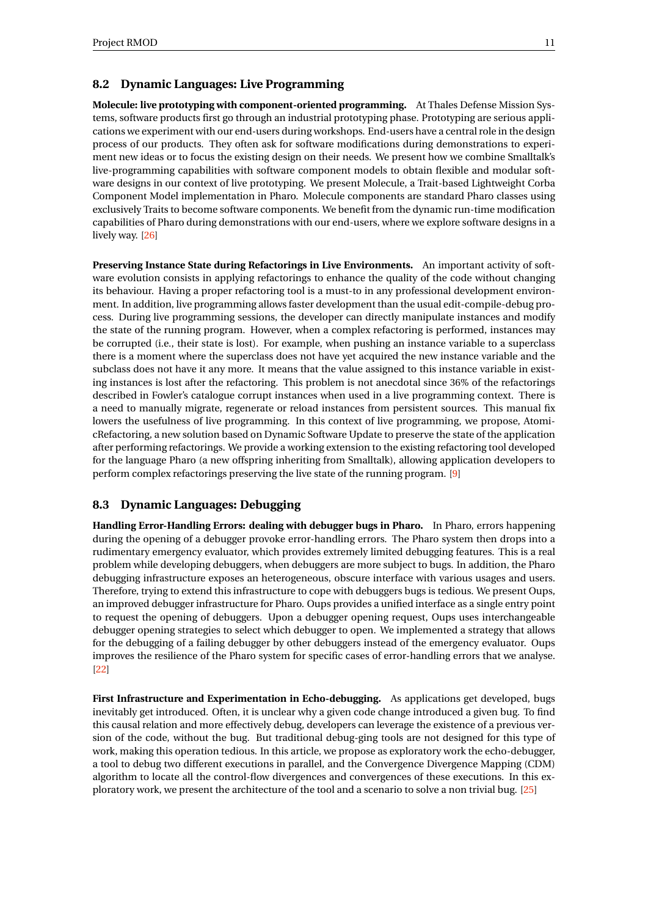#### **8.2 Dynamic Languages: Live Programming**

**Molecule: live prototyping with component-oriented programming.** At Thales Defense Mission Systems, software products first go through an industrial prototyping phase. Prototyping are serious applications we experiment with our end-users during workshops. End-users have a central role in the design process of our products. They often ask for software modifications during demonstrations to experiment new ideas or to focus the existing design on their needs. We present how we combine Smalltalk's live-programming capabilities with software component models to obtain flexible and modular software designs in our context of live prototyping. We present Molecule, a Trait-based Lightweight Corba Component Model implementation in Pharo. Molecule components are standard Pharo classes using exclusively Traits to become software components. We benefit from the dynamic run-time modification capabilities of Pharo during demonstrations with our end-users, where we explore software designs in a lively way. [26]

**Preserving Instance State during Refactorings in Live Environments.** An important activity of software evolution consists in applying refactorings to enhance the quality of the code without changing its behaviour. Having a proper refactoring tool is a must-to in any professional development environment. In addition, live programming allows faster development than the usual edit-compile-debug process. During live programming sessions, the developer can directly manipulate instances and modify the state of the running program. However, when a complex refactoring is performed, instances may be corrupted (i.e., their state is lost). For example, when pushing an instance variable to a superclass there is a moment where the superclass does not have yet acquired the new instance variable and the subclass does not have it any more. It means that the value assigned to this instance variable in existing instances is lost after the refactoring. This problem is not anecdotal since 36% of the refactorings described in Fowler's catalogue corrupt instances when used in a live programming context. There is a need to manually migrate, regenerate or reload instances from persistent sources. This manual fix lowers the usefulness of live programming. In this context of live programming, we propose, AtomicRefactoring, a new solution based on Dynamic Software Update to preserve the state of the application after performing refactorings. We provide a working extension to the existing refactoring tool developed for the language Pharo (a new offspring inheriting from Smalltalk), allowing application developers to perform complex refactorings preserving the live state of the running program. [9]

#### **8.3 Dynamic Languages: Debugging**

**Handling Error-Handling Errors: dealing with debugger bugs in Pharo.** In Pharo, errors happening during the opening of a debugger provoke error-handling errors. The Pharo system then drops into a rudimentary emergency evaluator, which provides extremely limited debugging features. This is a real problem while developing debuggers, when debuggers are more subject to bugs. In addition, the Pharo debugging infrastructure exposes an heterogeneous, obscure interface with various usages and users. Therefore, trying to extend this infrastructure to cope with debuggers bugs is tedious. We present Oups, an improved debugger infrastructure for Pharo. Oups provides a unified interface as a single entry point to request the opening of debuggers. Upon a debugger opening request, Oups uses interchangeable debugger opening strategies to select which debugger to open. We implemented a strategy that allows for the debugging of a failing debugger by other debuggers instead of the emergency evaluator. Oups improves the resilience of the Pharo system for specific cases of error-handling errors that we analyse. [22]

**First Infrastructure and Experimentation in Echo-debugging.** As applications get developed, bugs inevitably get introduced. Often, it is unclear why a given code change introduced a given bug. To find this causal relation and more effectively debug, developers can leverage the existence of a previous version of the code, without the bug. But traditional debug-ging tools are not designed for this type of work, making this operation tedious. In this article, we propose as exploratory work the echo-debugger, a tool to debug two different executions in parallel, and the Convergence Divergence Mapping (CDM) algorithm to locate all the control-flow divergences and convergences of these executions. In this exploratory work, we present the architecture of the tool and a scenario to solve a non trivial bug. [25]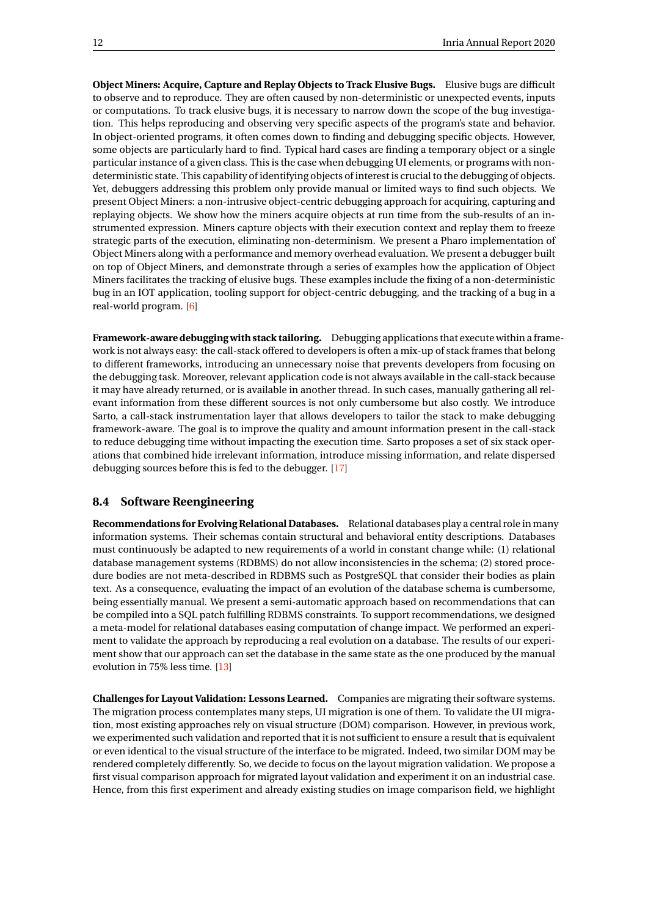**Object Miners: Acquire, Capture and Replay Objects to Track Elusive Bugs.** Elusive bugs are difficult to observe and to reproduce. They are often caused by non-deterministic or unexpected events, inputs or computations. To track elusive bugs, it is necessary to narrow down the scope of the bug investigation. This helps reproducing and observing very specific aspects of the program's state and behavior. In object-oriented programs, it often comes down to finding and debugging specific objects. However, some objects are particularly hard to find. Typical hard cases are finding a temporary object or a single particular instance of a given class. This is the case when debugging UI elements, or programs with nondeterministic state. This capability of identifying objects of interest is crucial to the debugging of objects. Yet, debuggers addressing this problem only provide manual or limited ways to find such objects. We present Object Miners: a non-intrusive object-centric debugging approach for acquiring, capturing and replaying objects. We show how the miners acquire objects at run time from the sub-results of an instrumented expression. Miners capture objects with their execution context and replay them to freeze strategic parts of the execution, eliminating non-determinism. We present a Pharo implementation of Object Miners along with a performance and memory overhead evaluation. We present a debugger built on top of Object Miners, and demonstrate through a series of examples how the application of Object Miners facilitates the tracking of elusive bugs. These examples include the fixing of a non-deterministic bug in an IOT application, tooling support for object-centric debugging, and the tracking of a bug in a real-world program. [6]

**Framework-aware debugging with stack tailoring.** Debugging applications that execute within a framework is not always easy: the call-stack offered to developers is often a mix-up of stack frames that belong to different frameworks, introducing an unnecessary noise that prevents developers from focusing on the debugging task. Moreover, relevant application code is not always available in the call-stack because it may have already returned, or is available in another thread. In such cases, manually gathering all relevant information from these different sources is not only cumbersome but also costly. We introduce Sarto, a call-stack instrumentation layer that allows developers to tailor the stack to make debugging framework-aware. The goal is to improve the quality and amount information present in the call-stack to reduce debugging time without impacting the execution time. Sarto proposes a set of six stack operations that combined hide irrelevant information, introduce missing information, and relate dispersed debugging sources before this is fed to the debugger. [17]

#### **8.4 Software Reengineering**

**Recommendations for Evolving Relational Databases.** Relational databases play a central role in many information systems. Their schemas contain structural and behavioral entity descriptions. Databases must continuously be adapted to new requirements of a world in constant change while: (1) relational database management systems (RDBMS) do not allow inconsistencies in the schema; (2) stored procedure bodies are not meta-described in RDBMS such as PostgreSQL that consider their bodies as plain text. As a consequence, evaluating the impact of an evolution of the database schema is cumbersome, being essentially manual. We present a semi-automatic approach based on recommendations that can be compiled into a SQL patch fulfilling RDBMS constraints. To support recommendations, we designed a meta-model for relational databases easing computation of change impact. We performed an experiment to validate the approach by reproducing a real evolution on a database. The results of our experiment show that our approach can set the database in the same state as the one produced by the manual evolution in 75% less time. [13]

**Challenges for Layout Validation: Lessons Learned.** Companies are migrating their software systems. The migration process contemplates many steps, UI migration is one of them. To validate the UI migration, most existing approaches rely on visual structure (DOM) comparison. However, in previous work, we experimented such validation and reported that it is not sufficient to ensure a result that is equivalent or even identical to the visual structure of the interface to be migrated. Indeed, two similar DOM may be rendered completely differently. So, we decide to focus on the layout migration validation. We propose a first visual comparison approach for migrated layout validation and experiment it on an industrial case. Hence, from this first experiment and already existing studies on image comparison field, we highlight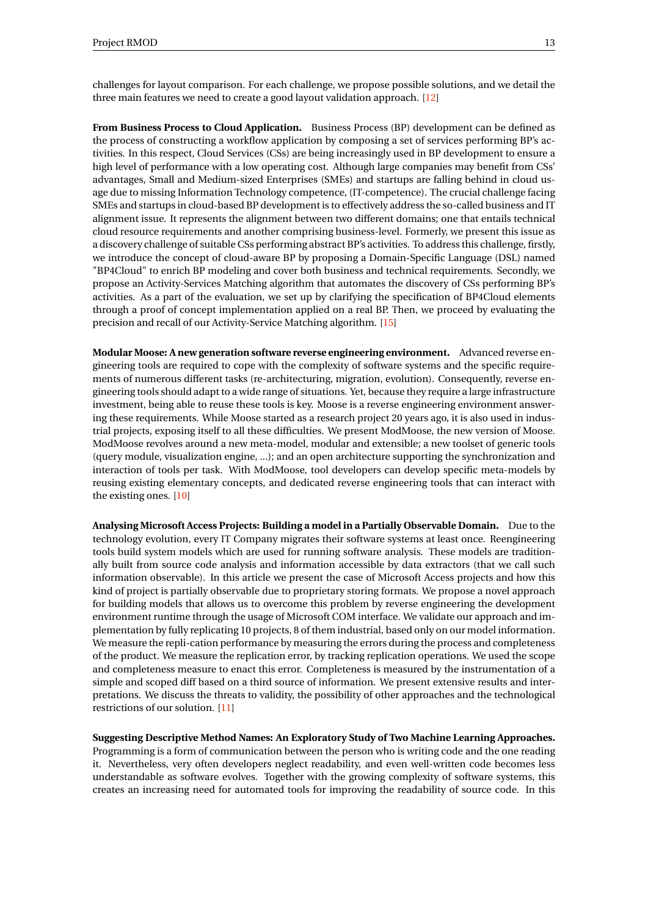challenges for layout comparison. For each challenge, we propose possible solutions, and we detail the three main features we need to create a good layout validation approach. [12]

**From Business Process to Cloud Application.** Business Process (BP) development can be defined as the process of constructing a workflow application by composing a set of services performing BP's activities. In this respect, Cloud Services (CSs) are being increasingly used in BP development to ensure a high level of performance with a low operating cost. Although large companies may benefit from CSs' advantages, Small and Medium-sized Enterprises (SMEs) and startups are falling behind in cloud usage due to missing Information Technology competence, (IT-competence). The crucial challenge facing SMEs and startups in cloud-based BP development is to effectively address the so-called business and IT alignment issue. It represents the alignment between two different domains; one that entails technical cloud resource requirements and another comprising business-level. Formerly, we present this issue as a discovery challenge of suitable CSs performing abstract BP's activities. To address this challenge, firstly, we introduce the concept of cloud-aware BP by proposing a Domain-Specific Language (DSL) named "BP4Cloud" to enrich BP modeling and cover both business and technical requirements. Secondly, we propose an Activity-Services Matching algorithm that automates the discovery of CSs performing BP's activities. As a part of the evaluation, we set up by clarifying the specification of BP4Cloud elements through a proof of concept implementation applied on a real BP. Then, we proceed by evaluating the precision and recall of our Activity-Service Matching algorithm. [15]

**Modular Moose: A new generation software reverse engineering environment.** Advanced reverse engineering tools are required to cope with the complexity of software systems and the specific requirements of numerous different tasks (re-architecturing, migration, evolution). Consequently, reverse engineering tools should adapt to a wide range of situations. Yet, because they require a large infrastructure investment, being able to reuse these tools is key. Moose is a reverse engineering environment answering these requirements. While Moose started as a research project 20 years ago, it is also used in industrial projects, exposing itself to all these difficulties. We present ModMoose, the new version of Moose. ModMoose revolves around a new meta-model, modular and extensible; a new toolset of generic tools (query module, visualization engine, ...); and an open architecture supporting the synchronization and interaction of tools per task. With ModMoose, tool developers can develop specific meta-models by reusing existing elementary concepts, and dedicated reverse engineering tools that can interact with the existing ones. [10]

**Analysing Microsoft Access Projects: Building a model in a Partially Observable Domain.** Due to the technology evolution, every IT Company migrates their software systems at least once. Reengineering tools build system models which are used for running software analysis. These models are traditionally built from source code analysis and information accessible by data extractors (that we call such information observable). In this article we present the case of Microsoft Access projects and how this kind of project is partially observable due to proprietary storing formats. We propose a novel approach for building models that allows us to overcome this problem by reverse engineering the development environment runtime through the usage of Microsoft COM interface. We validate our approach and implementation by fully replicating 10 projects, 8 of them industrial, based only on our model information. We measure the repli-cation performance by measuring the errors during the process and completeness of the product. We measure the replication error, by tracking replication operations. We used the scope and completeness measure to enact this error. Completeness is measured by the instrumentation of a simple and scoped diff based on a third source of information. We present extensive results and interpretations. We discuss the threats to validity, the possibility of other approaches and the technological restrictions of our solution. [11]

**Suggesting Descriptive Method Names: An Exploratory Study of Two Machine Learning Approaches.**

Programming is a form of communication between the person who is writing code and the one reading it. Nevertheless, very often developers neglect readability, and even well-written code becomes less understandable as software evolves. Together with the growing complexity of software systems, this creates an increasing need for automated tools for improving the readability of source code. In this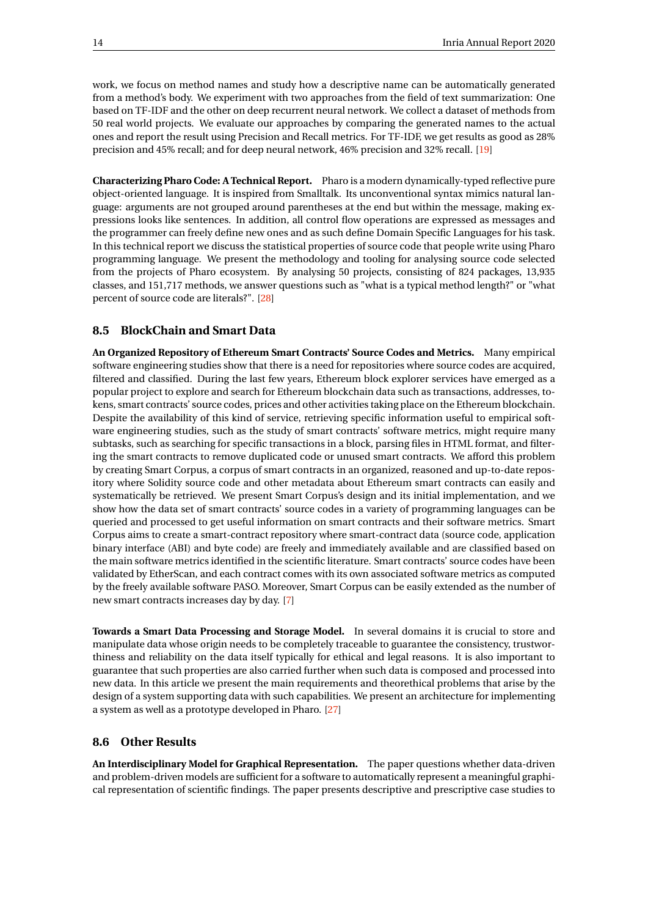work, we focus on method names and study how a descriptive name can be automatically generated from a method's body. We experiment with two approaches from the field of text summarization: One based on TF-IDF and the other on deep recurrent neural network. We collect a dataset of methods from 50 real world projects. We evaluate our approaches by comparing the generated names to the actual ones and report the result using Precision and Recall metrics. For TF-IDF, we get results as good as 28% precision and 45% recall; and for deep neural network, 46% precision and 32% recall. [19]

**Characterizing Pharo Code: A Technical Report.** Pharo is a modern dynamically-typed reflective pure object-oriented language. It is inspired from Smalltalk. Its unconventional syntax mimics natural language: arguments are not grouped around parentheses at the end but within the message, making expressions looks like sentences. In addition, all control flow operations are expressed as messages and the programmer can freely define new ones and as such define Domain Specific Languages for his task. In this technical report we discuss the statistical properties of source code that people write using Pharo programming language. We present the methodology and tooling for analysing source code selected from the projects of Pharo ecosystem. By analysing 50 projects, consisting of 824 packages, 13,935 classes, and 151,717 methods, we answer questions such as "what is a typical method length?" or "what percent of source code are literals?". [28]

#### **8.5 BlockChain and Smart Data**

**An Organized Repository of Ethereum Smart Contracts' Source Codes and Metrics.** Many empirical software engineering studies show that there is a need for repositories where source codes are acquired, filtered and classified. During the last few years, Ethereum block explorer services have emerged as a popular project to explore and search for Ethereum blockchain data such as transactions, addresses, tokens, smart contracts' source codes, prices and other activities taking place on the Ethereum blockchain. Despite the availability of this kind of service, retrieving specific information useful to empirical software engineering studies, such as the study of smart contracts' software metrics, might require many subtasks, such as searching for specific transactions in a block, parsing files in HTML format, and filtering the smart contracts to remove duplicated code or unused smart contracts. We afford this problem by creating Smart Corpus, a corpus of smart contracts in an organized, reasoned and up-to-date repository where Solidity source code and other metadata about Ethereum smart contracts can easily and systematically be retrieved. We present Smart Corpus's design and its initial implementation, and we show how the data set of smart contracts' source codes in a variety of programming languages can be queried and processed to get useful information on smart contracts and their software metrics. Smart Corpus aims to create a smart-contract repository where smart-contract data (source code, application binary interface (ABI) and byte code) are freely and immediately available and are classified based on the main software metrics identified in the scientific literature. Smart contracts' source codes have been validated by EtherScan, and each contract comes with its own associated software metrics as computed by the freely available software PASO. Moreover, Smart Corpus can be easily extended as the number of new smart contracts increases day by day. [7]

**Towards a Smart Data Processing and Storage Model.** In several domains it is crucial to store and manipulate data whose origin needs to be completely traceable to guarantee the consistency, trustworthiness and reliability on the data itself typically for ethical and legal reasons. It is also important to guarantee that such properties are also carried further when such data is composed and processed into new data. In this article we present the main requirements and theorethical problems that arise by the design of a system supporting data with such capabilities. We present an architecture for implementing a system as well as a prototype developed in Pharo. [27]

#### **8.6 Other Results**

**An Interdisciplinary Model for Graphical Representation.** The paper questions whether data-driven and problem-driven models are sufficient for a software to automatically represent a meaningful graphical representation of scientific findings. The paper presents descriptive and prescriptive case studies to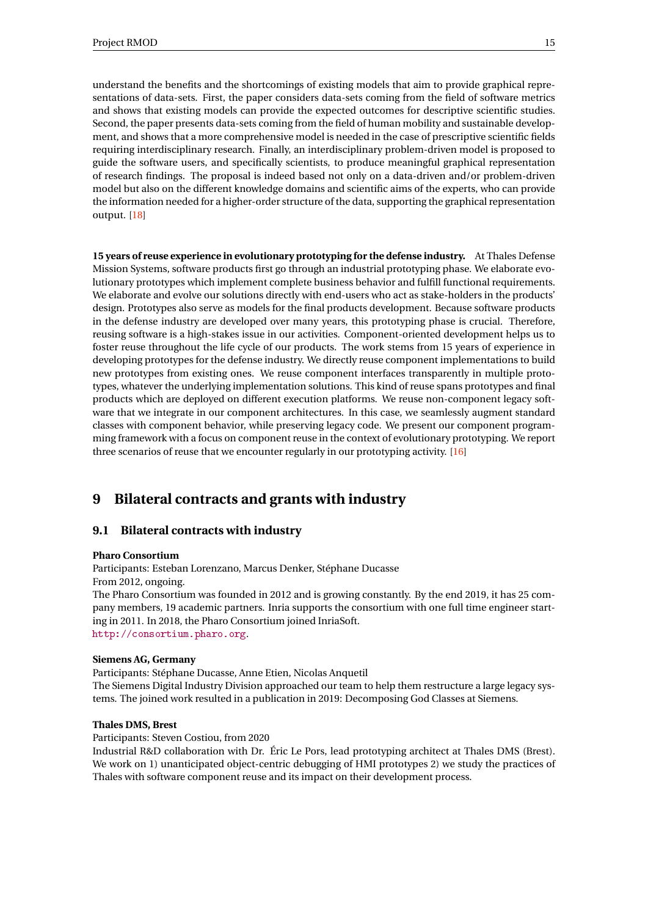understand the benefits and the shortcomings of existing models that aim to provide graphical representations of data-sets. First, the paper considers data-sets coming from the field of software metrics and shows that existing models can provide the expected outcomes for descriptive scientific studies. Second, the paper presents data-sets coming from the field of human mobility and sustainable development, and shows that a more comprehensive model is needed in the case of prescriptive scientific fields requiring interdisciplinary research. Finally, an interdisciplinary problem-driven model is proposed to guide the software users, and specifically scientists, to produce meaningful graphical representation of research findings. The proposal is indeed based not only on a data-driven and/or problem-driven model but also on the different knowledge domains and scientific aims of the experts, who can provide the information needed for a higher-order structure of the data, supporting the graphical representation output. [18]

**15 years of reuse experience in evolutionary prototyping for the defense industry.** At Thales Defense Mission Systems, software products first go through an industrial prototyping phase. We elaborate evolutionary prototypes which implement complete business behavior and fulfill functional requirements. We elaborate and evolve our solutions directly with end-users who act as stake-holders in the products' design. Prototypes also serve as models for the final products development. Because software products in the defense industry are developed over many years, this prototyping phase is crucial. Therefore, reusing software is a high-stakes issue in our activities. Component-oriented development helps us to foster reuse throughout the life cycle of our products. The work stems from 15 years of experience in developing prototypes for the defense industry. We directly reuse component implementations to build new prototypes from existing ones. We reuse component interfaces transparently in multiple prototypes, whatever the underlying implementation solutions. This kind of reuse spans prototypes and final products which are deployed on different execution platforms. We reuse non-component legacy software that we integrate in our component architectures. In this case, we seamlessly augment standard classes with component behavior, while preserving legacy code. We present our component programming framework with a focus on component reuse in the context of evolutionary prototyping. We report three scenarios of reuse that we encounter regularly in our prototyping activity. [16]

# **9 Bilateral contracts and grants with industry**

#### **9.1 Bilateral contracts with industry**

#### **Pharo Consortium**

Participants: Esteban Lorenzano, Marcus Denker, Stéphane Ducasse From 2012, ongoing.

The Pharo Consortium was founded in 2012 and is growing constantly. By the end 2019, it has 25 company members, 19 academic partners. Inria supports the consortium with one full time engineer starting in 2011. In 2018, the Pharo Consortium joined InriaSoft.

<http://consortium.pharo.org>.

#### **Siemens AG, Germany**

Participants: Stéphane Ducasse, Anne Etien, Nicolas Anquetil

The Siemens Digital Industry Division approached our team to help them restructure a large legacy systems. The joined work resulted in a publication in 2019: Decomposing God Classes at Siemens.

#### **Thales DMS, Brest**

Participants: Steven Costiou, from 2020

Industrial R&D collaboration with Dr. Éric Le Pors, lead prototyping architect at Thales DMS (Brest). We work on 1) unanticipated object-centric debugging of HMI prototypes 2) we study the practices of Thales with software component reuse and its impact on their development process.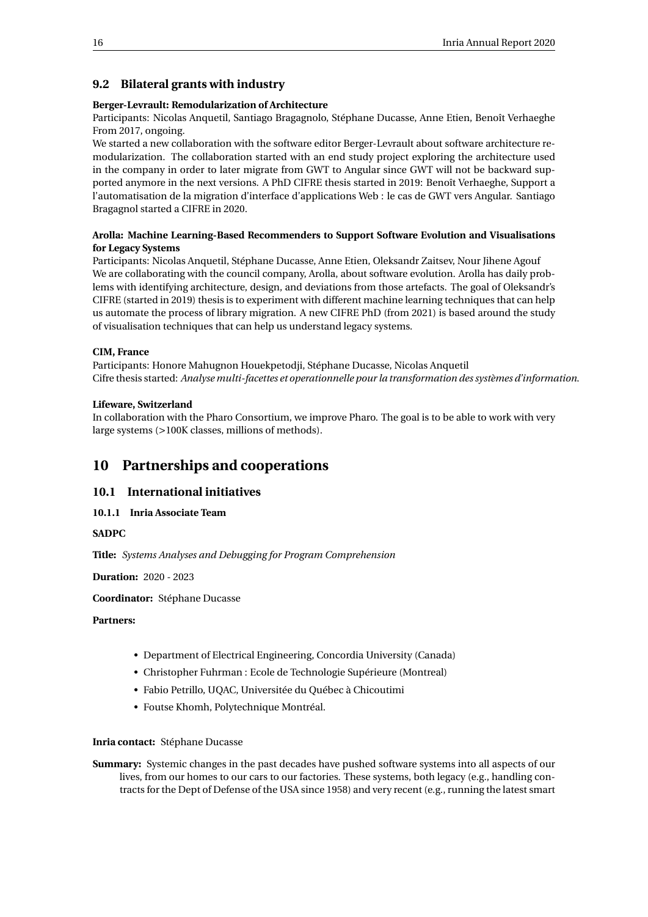# **9.2 Bilateral grants with industry**

#### **Berger-Levrault: Remodularization of Architecture**

Participants: Nicolas Anquetil, Santiago Bragagnolo, Stéphane Ducasse, Anne Etien, Benoît Verhaeghe From 2017, ongoing.

We started a new collaboration with the software editor Berger-Levrault about software architecture remodularization. The collaboration started with an end study project exploring the architecture used in the company in order to later migrate from GWT to Angular since GWT will not be backward supported anymore in the next versions. A PhD CIFRE thesis started in 2019: Benoît Verhaeghe, Support a l'automatisation de la migration d'interface d'applications Web : le cas de GWT vers Angular. Santiago Bragagnol started a CIFRE in 2020.

#### **Arolla: Machine Learning-Based Recommenders to Support Software Evolution and Visualisations for Legacy Systems**

Participants: Nicolas Anquetil, Stéphane Ducasse, Anne Etien, Oleksandr Zaitsev, Nour Jihene Agouf We are collaborating with the council company, Arolla, about software evolution. Arolla has daily problems with identifying architecture, design, and deviations from those artefacts. The goal of Oleksandr's CIFRE (started in 2019) thesis is to experiment with different machine learning techniques that can help us automate the process of library migration. A new CIFRE PhD (from 2021) is based around the study of visualisation techniques that can help us understand legacy systems.

#### **CIM, France**

Participants: Honore Mahugnon Houekpetodji, Stéphane Ducasse, Nicolas Anquetil Cifre thesis started: *Analyse multi-facettes et operationnelle pour la transformation des systèmes d'information*.

#### **Lifeware, Switzerland**

In collaboration with the Pharo Consortium, we improve Pharo. The goal is to be able to work with very large systems (>100K classes, millions of methods).

# **10 Partnerships and cooperations**

# **10.1 International initiatives**

#### **10.1.1 Inria Associate Team**

#### **SADPC**

**Title:** *Systems Analyses and Debugging for Program Comprehension*

**Duration:** 2020 - 2023

**Coordinator:** Stéphane Ducasse

#### **Partners:**

- Department of Electrical Engineering, Concordia University (Canada)
- Christopher Fuhrman : Ecole de Technologie Supérieure (Montreal)
- Fabio Petrillo, UQAC, Universitée du Québec à Chicoutimi
- Foutse Khomh, Polytechnique Montréal.

#### **Inria contact:** Stéphane Ducasse

**Summary:** Systemic changes in the past decades have pushed software systems into all aspects of our lives, from our homes to our cars to our factories. These systems, both legacy (e.g., handling contracts for the Dept of Defense of the USA since 1958) and very recent (e.g., running the latest smart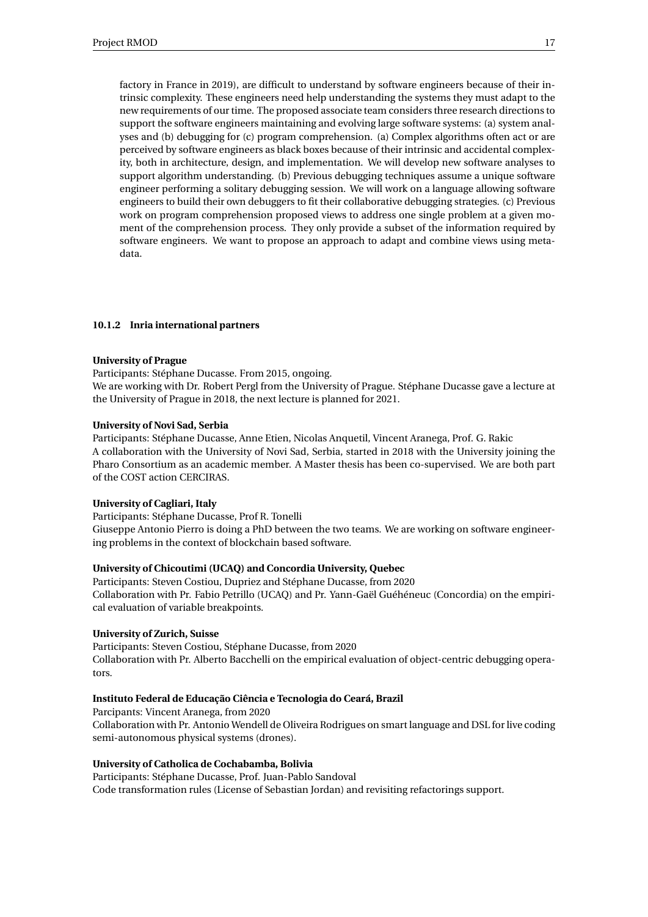factory in France in 2019), are difficult to understand by software engineers because of their intrinsic complexity. These engineers need help understanding the systems they must adapt to the new requirements of our time. The proposed associate team considers three research directions to support the software engineers maintaining and evolving large software systems: (a) system analyses and (b) debugging for (c) program comprehension. (a) Complex algorithms often act or are perceived by software engineers as black boxes because of their intrinsic and accidental complexity, both in architecture, design, and implementation. We will develop new software analyses to support algorithm understanding. (b) Previous debugging techniques assume a unique software engineer performing a solitary debugging session. We will work on a language allowing software engineers to build their own debuggers to fit their collaborative debugging strategies. (c) Previous work on program comprehension proposed views to address one single problem at a given moment of the comprehension process. They only provide a subset of the information required by software engineers. We want to propose an approach to adapt and combine views using metadata.

#### **10.1.2 Inria international partners**

#### **University of Prague**

Participants: Stéphane Ducasse. From 2015, ongoing.

We are working with Dr. Robert Pergl from the University of Prague. Stéphane Ducasse gave a lecture at the University of Prague in 2018, the next lecture is planned for 2021.

#### **University of Novi Sad, Serbia**

Participants: Stéphane Ducasse, Anne Etien, Nicolas Anquetil, Vincent Aranega, Prof. G. Rakic A collaboration with the University of Novi Sad, Serbia, started in 2018 with the University joining the Pharo Consortium as an academic member. A Master thesis has been co-supervised. We are both part of the COST action CERCIRAS.

#### **University of Cagliari, Italy**

Participants: Stéphane Ducasse, Prof R. Tonelli Giuseppe Antonio Pierro is doing a PhD between the two teams. We are working on software engineering problems in the context of blockchain based software.

#### **University of Chicoutimi (UCAQ) and Concordia University, Quebec**

Participants: Steven Costiou, Dupriez and Stéphane Ducasse, from 2020 Collaboration with Pr. Fabio Petrillo (UCAQ) and Pr. Yann-Gaël Guéhéneuc (Concordia) on the empirical evaluation of variable breakpoints.

#### **University of Zurich, Suisse**

Participants: Steven Costiou, Stéphane Ducasse, from 2020 Collaboration with Pr. Alberto Bacchelli on the empirical evaluation of object-centric debugging operators.

#### **Instituto Federal de Educação Ciência e Tecnologia do Ceará, Brazil**

Parcipants: Vincent Aranega, from 2020

Collaboration with Pr. Antonio Wendell de Oliveira Rodrigues on smart language and DSL for live coding semi-autonomous physical systems (drones).

#### **University of Catholica de Cochabamba, Bolivia**

Participants: Stéphane Ducasse, Prof. Juan-Pablo Sandoval Code transformation rules (License of Sebastian Jordan) and revisiting refactorings support.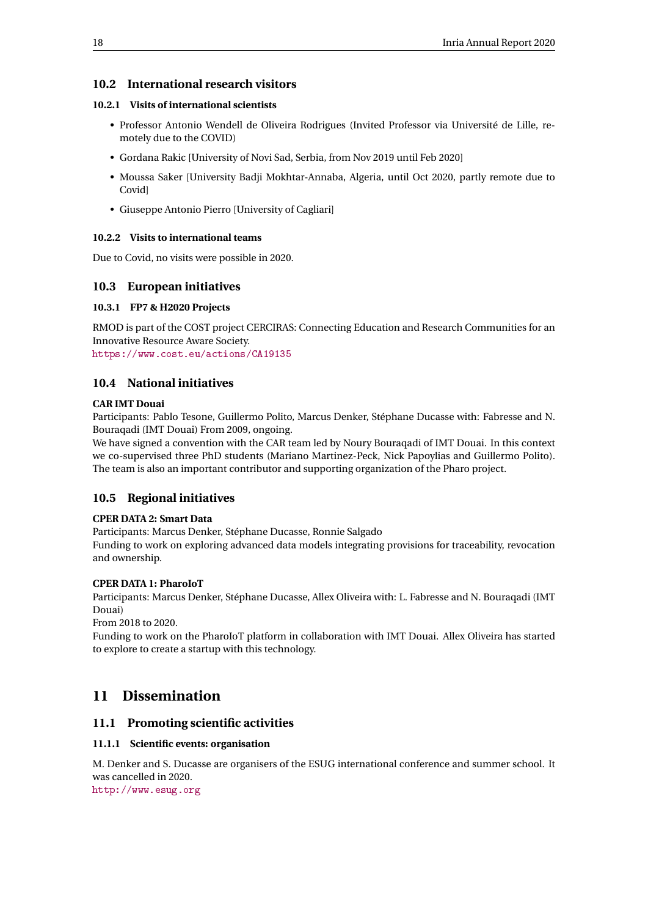# **10.2 International research visitors**

#### **10.2.1 Visits of international scientists**

- Professor Antonio Wendell de Oliveira Rodrigues (Invited Professor via Université de Lille, remotely due to the COVID)
- Gordana Rakic [University of Novi Sad, Serbia, from Nov 2019 until Feb 2020]
- Moussa Saker [University Badji Mokhtar-Annaba, Algeria, until Oct 2020, partly remote due to Covid]
- Giuseppe Antonio Pierro [University of Cagliari]

#### **10.2.2 Visits to international teams**

Due to Covid, no visits were possible in 2020.

#### **10.3 European initiatives**

#### **10.3.1 FP7 & H2020 Projects**

RMOD is part of the COST project CERCIRAS: Connecting Education and Research Communities for an Innovative Resource Aware Society.

<https://www.cost.eu/actions/CA19135>

#### **10.4 National initiatives**

#### **CAR IMT Douai**

Participants: Pablo Tesone, Guillermo Polito, Marcus Denker, Stéphane Ducasse with: Fabresse and N. Bouraqadi (IMT Douai) From 2009, ongoing.

We have signed a convention with the CAR team led by Noury Bouraqadi of IMT Douai. In this context we co-supervised three PhD students (Mariano Martinez-Peck, Nick Papoylias and Guillermo Polito). The team is also an important contributor and supporting organization of the Pharo project.

# **10.5 Regional initiatives**

#### **CPER DATA 2: Smart Data**

Participants: Marcus Denker, Stéphane Ducasse, Ronnie Salgado

Funding to work on exploring advanced data models integrating provisions for traceability, revocation and ownership.

#### **CPER DATA 1: PharoIoT**

Participants: Marcus Denker, Stéphane Ducasse, Allex Oliveira with: L. Fabresse and N. Bouraqadi (IMT Douai)

From 2018 to 2020.

Funding to work on the PharoIoT platform in collaboration with IMT Douai. Allex Oliveira has started to explore to create a startup with this technology.

# **11 Dissemination**

# **11.1 Promoting scientific activities**

#### **11.1.1 Scientific events: organisation**

M. Denker and S. Ducasse are organisers of the ESUG international conference and summer school. It was cancelled in 2020.

<http://www.esug.org>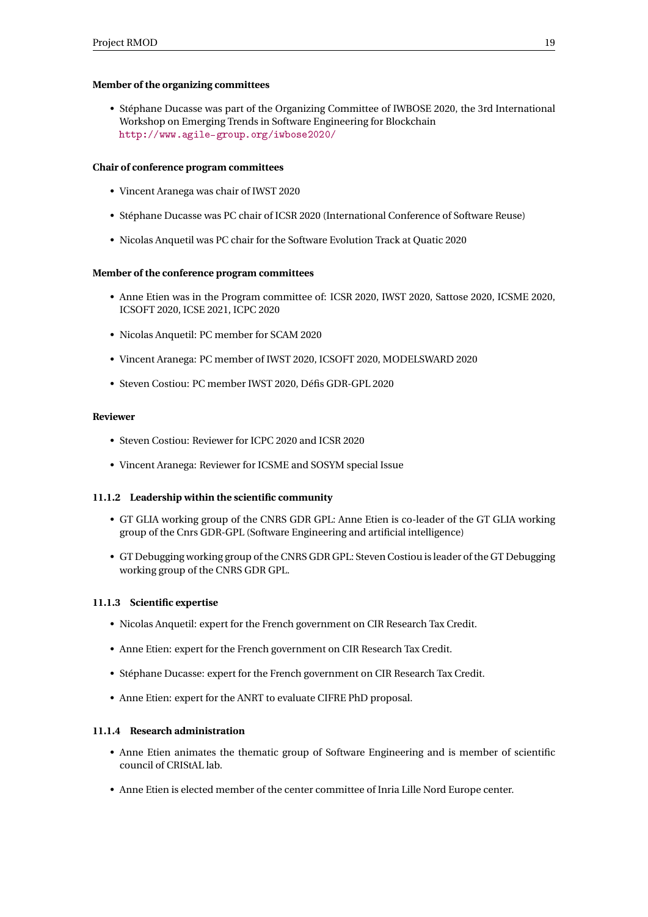#### **Member of the organizing committees**

• Stéphane Ducasse was part of the Organizing Committee of IWBOSE 2020, the 3rd International Workshop on Emerging Trends in Software Engineering for Blockchain <http://www.agile-group.org/iwbose2020/>

#### **Chair of conference program committees**

- Vincent Aranega was chair of IWST 2020
- Stéphane Ducasse was PC chair of ICSR 2020 (International Conference of Software Reuse)
- Nicolas Anquetil was PC chair for the Software Evolution Track at Quatic 2020

#### **Member of the conference program committees**

- Anne Etien was in the Program committee of: ICSR 2020, IWST 2020, Sattose 2020, ICSME 2020, ICSOFT 2020, ICSE 2021, ICPC 2020
- Nicolas Anquetil: PC member for SCAM 2020
- Vincent Aranega: PC member of IWST 2020, ICSOFT 2020, MODELSWARD 2020
- Steven Costiou: PC member IWST 2020, Défis GDR-GPL 2020

#### **Reviewer**

- Steven Costiou: Reviewer for ICPC 2020 and ICSR 2020
- Vincent Aranega: Reviewer for ICSME and SOSYM special Issue

#### **11.1.2 Leadership within the scientific community**

- GT GLIA working group of the CNRS GDR GPL: Anne Etien is co-leader of the GT GLIA working group of the Cnrs GDR-GPL (Software Engineering and artificial intelligence)
- GT Debugging working group of the CNRS GDR GPL: Steven Costiou is leader of the GT Debugging working group of the CNRS GDR GPL.

#### **11.1.3 Scientific expertise**

- Nicolas Anquetil: expert for the French government on CIR Research Tax Credit.
- Anne Etien: expert for the French government on CIR Research Tax Credit.
- Stéphane Ducasse: expert for the French government on CIR Research Tax Credit.
- Anne Etien: expert for the ANRT to evaluate CIFRE PhD proposal.

#### **11.1.4 Research administration**

- Anne Etien animates the thematic group of Software Engineering and is member of scientific council of CRIStAL lab.
- Anne Etien is elected member of the center committee of Inria Lille Nord Europe center.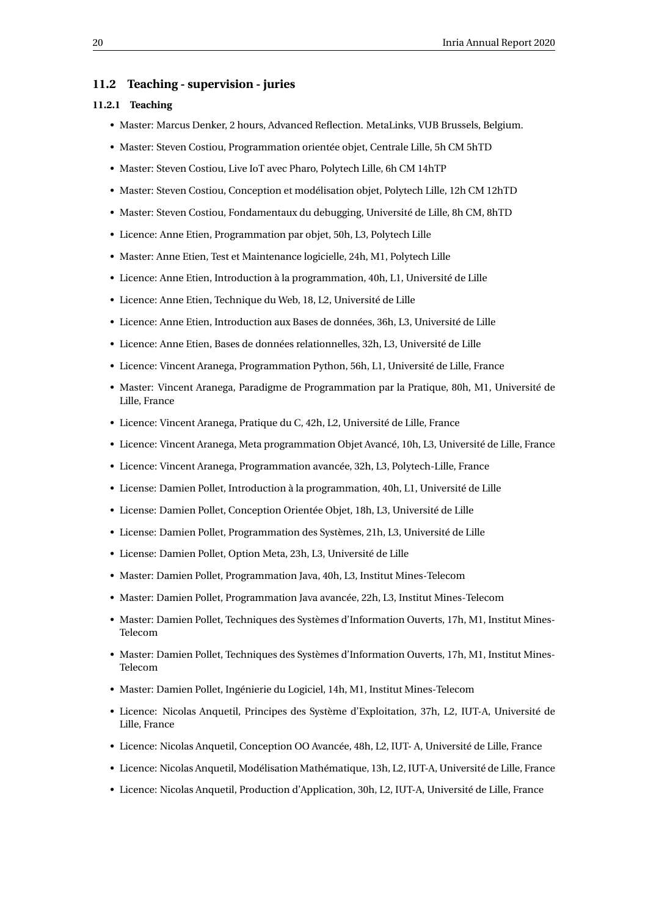#### **11.2 Teaching - supervision - juries**

#### **11.2.1 Teaching**

- Master: Marcus Denker, 2 hours, Advanced Reflection. MetaLinks, VUB Brussels, Belgium.
- Master: Steven Costiou, Programmation orientée objet, Centrale Lille, 5h CM 5hTD
- Master: Steven Costiou, Live IoT avec Pharo, Polytech Lille, 6h CM 14hTP
- Master: Steven Costiou, Conception et modélisation objet, Polytech Lille, 12h CM 12hTD
- Master: Steven Costiou, Fondamentaux du debugging, Université de Lille, 8h CM, 8hTD
- Licence: Anne Etien, Programmation par objet, 50h, L3, Polytech Lille
- Master: Anne Etien, Test et Maintenance logicielle, 24h, M1, Polytech Lille
- Licence: Anne Etien, Introduction à la programmation, 40h, L1, Université de Lille
- Licence: Anne Etien, Technique du Web, 18, L2, Université de Lille
- Licence: Anne Etien, Introduction aux Bases de données, 36h, L3, Université de Lille
- Licence: Anne Etien, Bases de données relationnelles, 32h, L3, Université de Lille
- Licence: Vincent Aranega, Programmation Python, 56h, L1, Université de Lille, France
- Master: Vincent Aranega, Paradigme de Programmation par la Pratique, 80h, M1, Université de Lille, France
- Licence: Vincent Aranega, Pratique du C, 42h, L2, Université de Lille, France
- Licence: Vincent Aranega, Meta programmation Objet Avancé, 10h, L3, Université de Lille, France
- Licence: Vincent Aranega, Programmation avancée, 32h, L3, Polytech-Lille, France
- License: Damien Pollet, Introduction à la programmation, 40h, L1, Université de Lille
- License: Damien Pollet, Conception Orientée Objet, 18h, L3, Université de Lille
- License: Damien Pollet, Programmation des Systèmes, 21h, L3, Université de Lille
- License: Damien Pollet, Option Meta, 23h, L3, Université de Lille
- Master: Damien Pollet, Programmation Java, 40h, L3, Institut Mines-Telecom
- Master: Damien Pollet, Programmation Java avancée, 22h, L3, Institut Mines-Telecom
- Master: Damien Pollet, Techniques des Systèmes d'Information Ouverts, 17h, M1, Institut Mines-Telecom
- Master: Damien Pollet, Techniques des Systèmes d'Information Ouverts, 17h, M1, Institut Mines-Telecom
- Master: Damien Pollet, Ingénierie du Logiciel, 14h, M1, Institut Mines-Telecom
- Licence: Nicolas Anquetil, Principes des Système d'Exploitation, 37h, L2, IUT-A, Université de Lille, France
- Licence: Nicolas Anquetil, Conception OO Avancée, 48h, L2, IUT- A, Université de Lille, France
- Licence: Nicolas Anquetil, Modélisation Mathématique, 13h, L2, IUT-A, Université de Lille, France
- Licence: Nicolas Anquetil, Production d'Application, 30h, L2, IUT-A, Université de Lille, France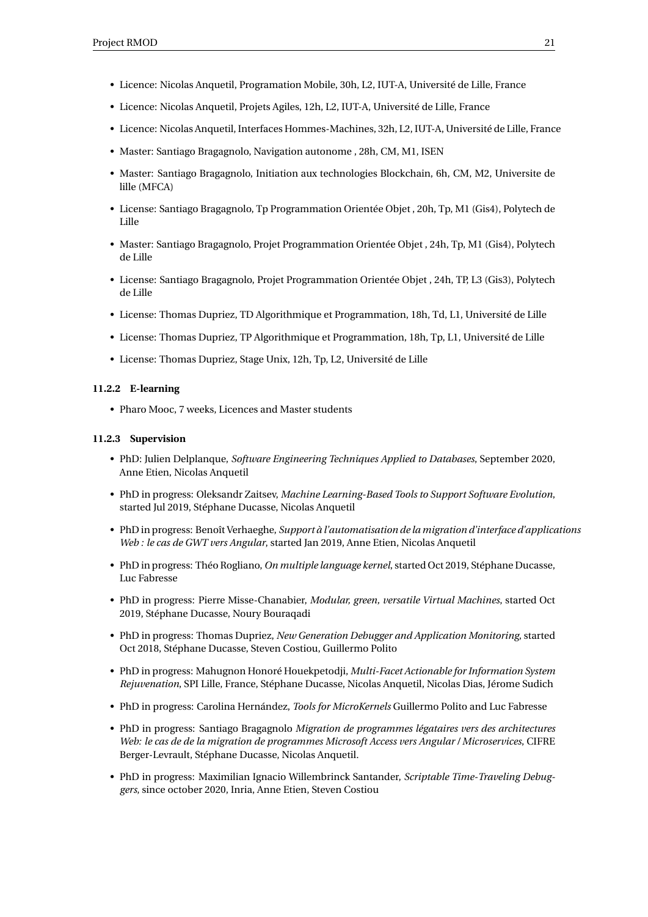- Licence: Nicolas Anquetil, Programation Mobile, 30h, L2, IUT-A, Université de Lille, France
- Licence: Nicolas Anquetil, Projets Agiles, 12h, L2, IUT-A, Université de Lille, France
- Licence: Nicolas Anquetil, Interfaces Hommes-Machines, 32h, L2, IUT-A, Université de Lille, France
- Master: Santiago Bragagnolo, Navigation autonome , 28h, CM, M1, ISEN
- Master: Santiago Bragagnolo, Initiation aux technologies Blockchain, 6h, CM, M2, Universite de lille (MFCA)
- License: Santiago Bragagnolo, Tp Programmation Orientée Objet , 20h, Tp, M1 (Gis4), Polytech de Lille
- Master: Santiago Bragagnolo, Projet Programmation Orientée Objet , 24h, Tp, M1 (Gis4), Polytech de Lille
- License: Santiago Bragagnolo, Projet Programmation Orientée Objet , 24h, TP, L3 (Gis3), Polytech de Lille
- License: Thomas Dupriez, TD Algorithmique et Programmation, 18h, Td, L1, Université de Lille
- License: Thomas Dupriez, TP Algorithmique et Programmation, 18h, Tp, L1, Université de Lille
- License: Thomas Dupriez, Stage Unix, 12h, Tp, L2, Université de Lille

#### **11.2.2 E-learning**

• Pharo Mooc, 7 weeks, Licences and Master students

#### **11.2.3 Supervision**

- PhD: Julien Delplanque, *Software Engineering Techniques Applied to Databases*, September 2020, Anne Etien, Nicolas Anquetil
- PhD in progress: Oleksandr Zaitsev, *Machine Learning-Based Tools to Support Software Evolution*, started Jul 2019, Stéphane Ducasse, Nicolas Anquetil
- PhD in progress: Benoît Verhaeghe, *Support à l'automatisation de la migration d'interface d'applications Web : le cas de GWT vers Angular*, started Jan 2019, Anne Etien, Nicolas Anquetil
- PhD in progress: Théo Rogliano, *On multiple language kernel*, started Oct 2019, Stéphane Ducasse, Luc Fabresse
- PhD in progress: Pierre Misse-Chanabier, *Modular, green, versatile Virtual Machines*, started Oct 2019, Stéphane Ducasse, Noury Bouraqadi
- PhD in progress: Thomas Dupriez, *New Generation Debugger and Application Monitoring*, started Oct 2018, Stéphane Ducasse, Steven Costiou, Guillermo Polito
- PhD in progress: Mahugnon Honoré Houekpetodji, *Multi-Facet Actionable for Information System Rejuvenation*, SPI Lille, France, Stéphane Ducasse, Nicolas Anquetil, Nicolas Dias, Jérome Sudich
- PhD in progress: Carolina Hernández, *Tools for MicroKernels* Guillermo Polito and Luc Fabresse
- PhD in progress: Santiago Bragagnolo *Migration de programmes légataires vers des architectures Web: le cas de de la migration de programmes Microsoft Access vers Angular / Microservices*, CIFRE Berger-Levrault, Stéphane Ducasse, Nicolas Anquetil.
- PhD in progress: Maximilian Ignacio Willembrinck Santander, *Scriptable Time-Traveling Debuggers*, since october 2020, Inria, Anne Etien, Steven Costiou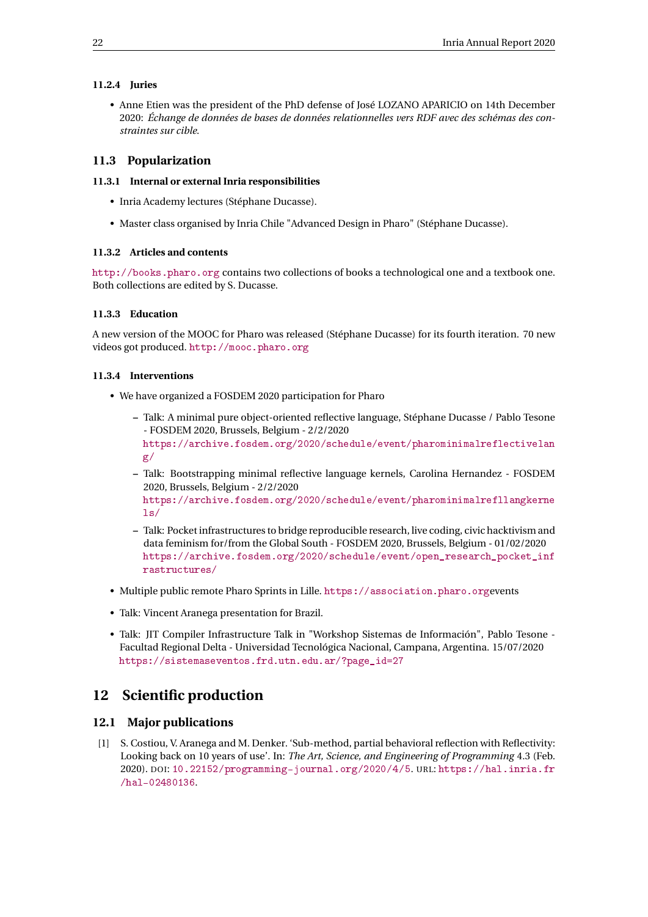#### **11.2.4 Juries**

• Anne Etien was the president of the PhD defense of José LOZANO APARICIO on 14th December 2020: *Échange de données de bases de données relationnelles vers RDF avec des schémas des constraintes sur cible*.

#### **11.3 Popularization**

#### **11.3.1 Internal or external Inria responsibilities**

- Inria Academy lectures (Stéphane Ducasse).
- Master class organised by Inria Chile "Advanced Design in Pharo" (Stéphane Ducasse).

#### **11.3.2 Articles and contents**

<http://books.pharo.org> contains two collections of books a technological one and a textbook one. Both collections are edited by S. Ducasse.

#### **11.3.3 Education**

A new version of the MOOC for Pharo was released (Stéphane Ducasse) for its fourth iteration. 70 new videos got produced. <http://mooc.pharo.org>

#### **11.3.4 Interventions**

- We have organized a FOSDEM 2020 participation for Pharo
	- **–** Talk: A minimal pure object-oriented reflective language, Stéphane Ducasse / Pablo Tesone - FOSDEM 2020, Brussels, Belgium - 2/2/2020 [https://archive.fosdem.org/2020/schedule/event/pharominimalreflectivelan](https://archive.fosdem.org/2020/schedule/event/pharominimalreflectivelang/) [g/](https://archive.fosdem.org/2020/schedule/event/pharominimalreflectivelang/)
	- **–** Talk: Bootstrapping minimal reflective language kernels, Carolina Hernandez FOSDEM 2020, Brussels, Belgium - 2/2/2020 [https://archive.fosdem.org/2020/schedule/event/pharominimalrefllangkerne](https://archive.fosdem.org/2020/schedule/event/pharominimalrefllangkernels/)
	- $\frac{1}{3}$ **–** Talk: Pocket infrastructures to bridge reproducible research, live coding, civic hacktivism and data feminism for/from the Global South - FOSDEM 2020, Brussels, Belgium - 01/02/2020 [https://archive.fosdem.org/2020/schedule/event/open\\_research\\_pocket\\_inf](https://archive.fosdem.org/2020/schedule/event/open_research_pocket_infrastructures/)
- Multiple public remote Pharo Sprints in Lille. <https://association.pharo.org>events
- Talk: Vincent Aranega presentation for Brazil.
- Talk: JIT Compiler Infrastructure Talk in "Workshop Sistemas de Información", Pablo Tesone Facultad Regional Delta - Universidad Tecnológica Nacional, Campana, Argentina. 15/07/2020 [https://sistemaseventos.frd.utn.edu.ar/?page\\_id=27](https://sistemaseventos.frd.utn.edu.ar/?page_id=27)

# **12 Scientific production**

[rastructures/](https://archive.fosdem.org/2020/schedule/event/open_research_pocket_infrastructures/)

## **12.1 Major publications**

[1] S. Costiou, V. Aranega and M. Denker. 'Sub-method, partial behavioral reflection with Reflectivity: Looking back on 10 years of use'. In: *The Art, Science, and Engineering of Programming* 4.3 (Feb. 2020). DOI: [10.22152/programming-journal.org/2020/4/5](https://doi.org/10.22152/programming-journal.org/2020/4/5). URL: [https://hal.inria.fr](https://hal.inria.fr/hal-02480136) [/hal-02480136](https://hal.inria.fr/hal-02480136).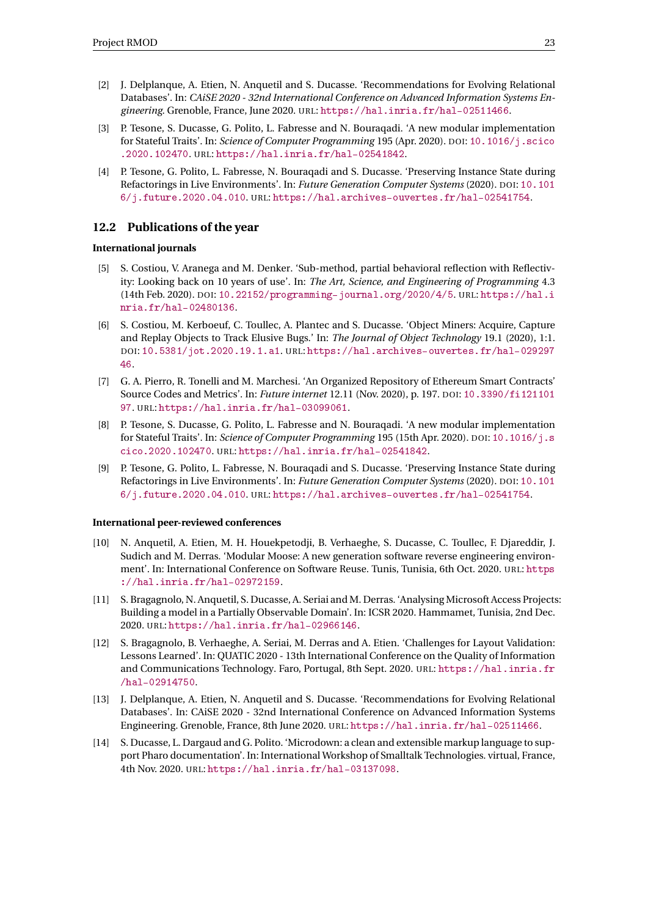- [2] J. Delplanque, A. Etien, N. Anquetil and S. Ducasse. 'Recommendations for Evolving Relational Databases'. In: *CAiSE 2020 - 32nd International Conference on Advanced Information Systems Engineering*. Grenoble, France, June 2020. URL: <https://hal.inria.fr/hal-02511466>.
- [3] P. Tesone, S. Ducasse, G. Polito, L. Fabresse and N. Bouraqadi. 'A new modular implementation for Stateful Traits'. In: *Science of Computer Programming* 195 (Apr. 2020). DOI: [10.1016/j.scico](https://doi.org/10.1016/j.scico.2020.102470) [.2020.102470](https://doi.org/10.1016/j.scico.2020.102470). URL: <https://hal.inria.fr/hal-02541842>.
- [4] P. Tesone, G. Polito, L. Fabresse, N. Bouraqadi and S. Ducasse. 'Preserving Instance State during Refactorings in Live Environments'. In: *Future Generation Computer Systems* (2020). DOI: [10.101](https://doi.org/10.1016/j.future.2020.04.010) [6/j.future.2020.04.010](https://doi.org/10.1016/j.future.2020.04.010). URL: <https://hal.archives-ouvertes.fr/hal-02541754>.

#### **12.2 Publications of the year**

#### **International journals**

- [5] S. Costiou, V. Aranega and M. Denker. 'Sub-method, partial behavioral reflection with Reflectivity: Looking back on 10 years of use'. In: *The Art, Science, and Engineering of Programming* 4.3 (14th Feb. 2020). DOI: [10.22152/programming-journal.org/2020/4/5](https://doi.org/10.22152/programming-journal.org/2020/4/5). URL: [https://hal.i](https://hal.inria.fr/hal-02480136) [nria.fr/hal-02480136](https://hal.inria.fr/hal-02480136).
- [6] S. Costiou, M. Kerboeuf, C. Toullec, A. Plantec and S. Ducasse. 'Object Miners: Acquire, Capture and Replay Objects to Track Elusive Bugs.' In: *The Journal of Object Technology* 19.1 (2020), 1:1. DOI: [10.5381/jot.2020.19.1.a1](https://doi.org/10.5381/jot.2020.19.1.a1). URL: [https://hal.archives-ouvertes.fr/hal-029297](https://hal.archives-ouvertes.fr/hal-02929746) [46](https://hal.archives-ouvertes.fr/hal-02929746).
- [7] G. A. Pierro, R. Tonelli and M. Marchesi. 'An Organized Repository of Ethereum Smart Contracts' Source Codes and Metrics'. In: *Future internet* 12.11 (Nov. 2020), p. 197. DOI: [10.3390/fi121101](https://doi.org/10.3390/fi12110197) [97](https://doi.org/10.3390/fi12110197). URL: <https://hal.inria.fr/hal-03099061>.
- [8] P. Tesone, S. Ducasse, G. Polito, L. Fabresse and N. Bouraqadi. 'A new modular implementation for Stateful Traits'. In: *Science of Computer Programming* 195 (15th Apr. 2020). DOI: [10.1016/j.s](https://doi.org/10.1016/j.scico.2020.102470) [cico.2020.102470](https://doi.org/10.1016/j.scico.2020.102470). URL: <https://hal.inria.fr/hal-02541842>.
- [9] P. Tesone, G. Polito, L. Fabresse, N. Bouraqadi and S. Ducasse. 'Preserving Instance State during Refactorings in Live Environments'. In: *Future Generation Computer Systems* (2020). DOI: [10.101](https://doi.org/10.1016/j.future.2020.04.010) [6/j.future.2020.04.010](https://doi.org/10.1016/j.future.2020.04.010). URL: <https://hal.archives-ouvertes.fr/hal-02541754>.

#### **International peer-reviewed conferences**

- [10] N. Anquetil, A. Etien, M. H. Houekpetodji, B. Verhaeghe, S. Ducasse, C. Toullec, F. Djareddir, J. Sudich and M. Derras. 'Modular Moose: A new generation software reverse engineering environment'. In: International Conference on Software Reuse. Tunis, Tunisia, 6th Oct. 2020. URL: [https](https://hal.inria.fr/hal-02972159) [://hal.inria.fr/hal-02972159](https://hal.inria.fr/hal-02972159).
- [11] S. Bragagnolo, N. Anquetil, S. Ducasse, A. Seriai and M. Derras. 'Analysing Microsoft Access Projects: Building a model in a Partially Observable Domain'. In: ICSR 2020. Hammamet, Tunisia, 2nd Dec. 2020. URL: <https://hal.inria.fr/hal-02966146>.
- [12] S. Bragagnolo, B. Verhaeghe, A. Seriai, M. Derras and A. Etien. 'Challenges for Layout Validation: Lessons Learned'. In: QUATIC 2020 - 13th International Conference on the Quality of Information and Communications Technology. Faro, Portugal, 8th Sept. 2020. URL: [https://hal.inria.fr](https://hal.inria.fr/hal-02914750) [/hal-02914750](https://hal.inria.fr/hal-02914750).
- [13] J. Delplanque, A. Etien, N. Anquetil and S. Ducasse. 'Recommendations for Evolving Relational Databases'. In: CAiSE 2020 - 32nd International Conference on Advanced Information Systems Engineering. Grenoble, France, 8th June 2020. URL: <https://hal.inria.fr/hal-02511466>.
- [14] S. Ducasse, L. Dargaud and G. Polito. 'Microdown: a clean and extensible markup language to support Pharo documentation'. In: International Workshop of Smalltalk Technologies. virtual, France, 4th Nov. 2020. URL: <https://hal.inria.fr/hal-03137098>.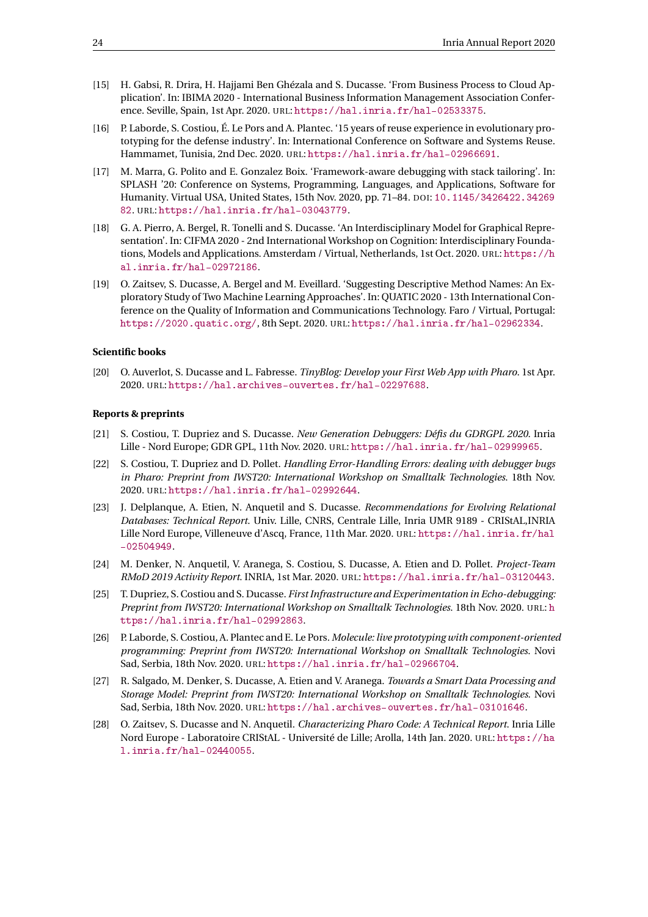- [15] H. Gabsi, R. Drira, H. Hajjami Ben Ghézala and S. Ducasse. 'From Business Process to Cloud Application'. In: IBIMA 2020 - International Business Information Management Association Conference. Seville, Spain, 1st Apr. 2020. URL: <https://hal.inria.fr/hal-02533375>.
- [16] P. Laborde, S. Costiou, É. Le Pors and A. Plantec. '15 years of reuse experience in evolutionary prototyping for the defense industry'. In: International Conference on Software and Systems Reuse. Hammamet, Tunisia, 2nd Dec. 2020. URL: <https://hal.inria.fr/hal-02966691>.
- [17] M. Marra, G. Polito and E. Gonzalez Boix. 'Framework-aware debugging with stack tailoring'. In: SPLASH '20: Conference on Systems, Programming, Languages, and Applications, Software for Humanity. Virtual USA, United States, 15th Nov. 2020, pp. 71–84. DOI: [10.1145/3426422.34269](https://doi.org/10.1145/3426422.3426982) [82](https://doi.org/10.1145/3426422.3426982). URL: <https://hal.inria.fr/hal-03043779>.
- [18] G. A. Pierro, A. Bergel, R. Tonelli and S. Ducasse. 'An Interdisciplinary Model for Graphical Representation'. In: CIFMA 2020 - 2nd International Workshop on Cognition: Interdisciplinary Foundations, Models and Applications. Amsterdam / Virtual, Netherlands, 1st Oct. 2020. URL: [https://h](https://hal.inria.fr/hal-02972186) [al.inria.fr/hal-02972186](https://hal.inria.fr/hal-02972186).
- [19] O. Zaitsev, S. Ducasse, A. Bergel and M. Eveillard. 'Suggesting Descriptive Method Names: An Exploratory Study of Two Machine Learning Approaches'. In: QUATIC 2020 - 13th International Conference on the Quality of Information and Communications Technology. Faro / Virtual, Portugal: <https://2020.quatic.org/>, 8th Sept. 2020. URL: <https://hal.inria.fr/hal-02962334>.

#### **Scientific books**

[20] O. Auverlot, S. Ducasse and L. Fabresse. *TinyBlog: Develop your First Web App with Pharo*. 1st Apr. 2020. URL: <https://hal.archives-ouvertes.fr/hal-02297688>.

#### **Reports & preprints**

- [21] S. Costiou, T. Dupriez and S. Ducasse. *New Generation Debuggers: Défis du GDRGPL 2020*. Inria Lille - Nord Europe; GDR GPL, 11th Nov. 2020. URL: <https://hal.inria.fr/hal-02999965>.
- [22] S. Costiou, T. Dupriez and D. Pollet. *Handling Error-Handling Errors: dealing with debugger bugs in Pharo: Preprint from IWST20: International Workshop on Smalltalk Technologies*. 18th Nov. 2020. URL: <https://hal.inria.fr/hal-02992644>.
- [23] J. Delplanque, A. Etien, N. Anquetil and S. Ducasse. *Recommendations for Evolving Relational Databases: Technical Report*. Univ. Lille, CNRS, Centrale Lille, Inria UMR 9189 - CRIStAL,INRIA Lille Nord Europe, Villeneuve d'Ascq, France, 11th Mar. 2020. URL: [https://hal.inria.fr/hal](https://hal.inria.fr/hal-02504949) [-02504949](https://hal.inria.fr/hal-02504949).
- [24] M. Denker, N. Anquetil, V. Aranega, S. Costiou, S. Ducasse, A. Etien and D. Pollet. *Project-Team RMoD 2019 Activity Report*. INRIA, 1st Mar. 2020. URL: <https://hal.inria.fr/hal-03120443>.
- [25] T. Dupriez, S. Costiou and S. Ducasse. *First Infrastructure and Experimentation in Echo-debugging: Preprint from IWST20: International Workshop on Smalltalk Technologies*. 18th Nov. 2020. URL: [h](https://hal.inria.fr/hal-02992863) [ttps://hal.inria.fr/hal-02992863](https://hal.inria.fr/hal-02992863).
- [26] P. Laborde, S. Costiou, A. Plantec and E. Le Pors. *Molecule: live prototyping with component-oriented programming: Preprint from IWST20: International Workshop on Smalltalk Technologies*. Novi Sad, Serbia, 18th Nov. 2020. URL: <https://hal.inria.fr/hal-02966704>.
- [27] R. Salgado, M. Denker, S. Ducasse, A. Etien and V. Aranega. *Towards a Smart Data Processing and Storage Model: Preprint from IWST20: International Workshop on Smalltalk Technologies*. Novi Sad, Serbia, 18th Nov. 2020. URL: <https://hal.archives-ouvertes.fr/hal-03101646>.
- [28] O. Zaitsev, S. Ducasse and N. Anquetil. *Characterizing Pharo Code: A Technical Report*. Inria Lille Nord Europe - Laboratoire CRIStAL - Université de Lille; Arolla, 14th Jan. 2020. URL: [https://ha](https://hal.inria.fr/hal-02440055) [l.inria.fr/hal-02440055](https://hal.inria.fr/hal-02440055).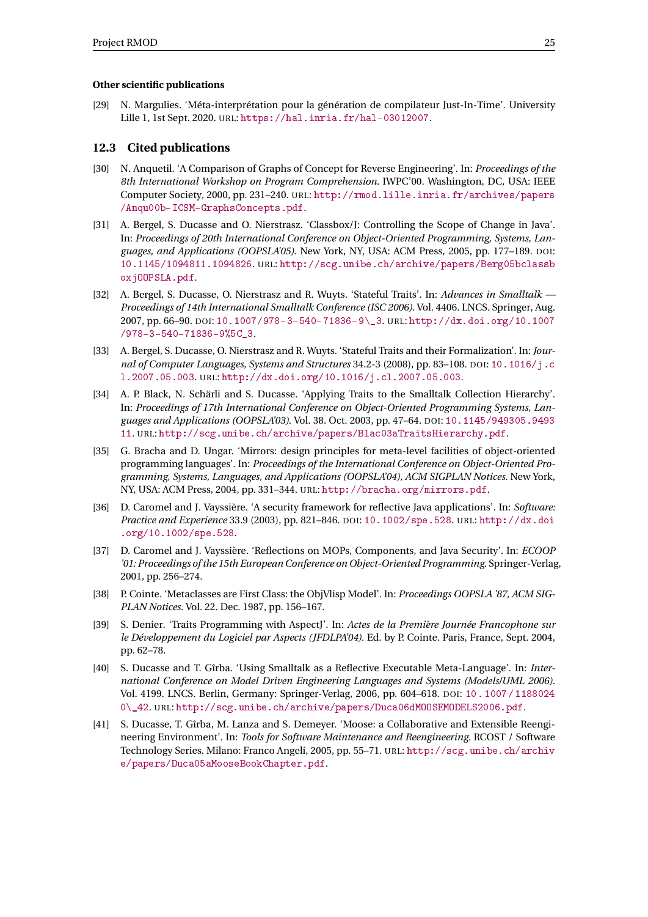#### **Other scientific publications**

[29] N. Margulies. 'Méta-interprétation pour la génération de compilateur Just-In-Time'. University Lille 1, 1st Sept. 2020. URL: <https://hal.inria.fr/hal-03012007>.

#### **12.3 Cited publications**

- [30] N. Anquetil. 'A Comparison of Graphs of Concept for Reverse Engineering'. In: *Proceedings of the 8th International Workshop on Program Comprehension*. IWPC'00. Washington, DC, USA: IEEE Computer Society, 2000, pp. 231–240. URL: [http://rmod.lille.inria.fr/archives/papers](http://rmod.lille.inria.fr/archives/papers/Anqu00b-ICSM-GraphsConcepts.pdf) [/Anqu00b-ICSM-GraphsConcepts.pdf](http://rmod.lille.inria.fr/archives/papers/Anqu00b-ICSM-GraphsConcepts.pdf).
- [31] A. Bergel, S. Ducasse and O. Nierstrasz. 'Classbox/J: Controlling the Scope of Change in Java'. In: *Proceedings of 20th International Conference on Object-Oriented Programming, Systems, Languages, and Applications (OOPSLA'05)*. New York, NY, USA: ACM Press, 2005, pp. 177–189. DOI: [10.1145/1094811.1094826](https://doi.org/10.1145/1094811.1094826). URL: [http://scg.unibe.ch/archive/papers/Berg05bclassb](http://scg.unibe.ch/archive/papers/Berg05bclassboxjOOPSLA.pdf) [oxjOOPSLA.pdf](http://scg.unibe.ch/archive/papers/Berg05bclassboxjOOPSLA.pdf).
- [32] A. Bergel, S. Ducasse, O. Nierstrasz and R. Wuyts. 'Stateful Traits'. In: *Advances in Smalltalk — Proceedings of 14th International Smalltalk Conference (ISC 2006)*. Vol. 4406. LNCS. Springer, Aug. 2007, pp. 66–90. DOI: [10.1007/978-3-540-71836-9\\\_3](https://doi.org/10.1007/978-3-540-71836-9\_3). URL: [http://dx.doi.org/10.1007](http://dx.doi.org/10.1007/978-3-540-71836-9%5C_3) [/978-3-540-71836-9%5C\\_3](http://dx.doi.org/10.1007/978-3-540-71836-9%5C_3).
- [33] A. Bergel, S. Ducasse, O. Nierstrasz and R. Wuyts. 'Stateful Traits and their Formalization'. In: *Journal of Computer Languages, Systems and Structures* 34.2-3 (2008), pp. 83–108. DOI: [10.1016/j.c](https://doi.org/10.1016/j.cl.2007.05.003) [l.2007.05.003](https://doi.org/10.1016/j.cl.2007.05.003). URL: <http://dx.doi.org/10.1016/j.cl.2007.05.003>.
- [34] A. P. Black, N. Schärli and S. Ducasse. 'Applying Traits to the Smalltalk Collection Hierarchy'. In: *Proceedings of 17th International Conference on Object-Oriented Programming Systems, Languages and Applications (OOPSLA'03)*. Vol. 38. Oct. 2003, pp. 47–64. DOI: [10.1145/949305.9493](https://doi.org/10.1145/949305.949311) [11](https://doi.org/10.1145/949305.949311). URL: <http://scg.unibe.ch/archive/papers/Blac03aTraitsHierarchy.pdf>.
- [35] G. Bracha and D. Ungar. 'Mirrors: design principles for meta-level facilities of object-oriented programming languages'. In: *Proceedings of the International Conference on Object-Oriented Programming, Systems, Languages, and Applications (OOPSLA'04), ACM SIGPLAN Notices*. New York, NY, USA: ACM Press, 2004, pp. 331–344. URL: <http://bracha.org/mirrors.pdf>.
- [36] D. Caromel and J. Vayssière. 'A security framework for reflective Java applications'. In: *Software: Practice and Experience* 33.9 (2003), pp. 821–846. DOI: [10.1002/spe.528](https://doi.org/10.1002/spe.528). URL: [http://dx.doi](http://dx.doi.org/10.1002/spe.528) [.org/10.1002/spe.528](http://dx.doi.org/10.1002/spe.528).
- [37] D. Caromel and J. Vayssière. 'Reflections on MOPs, Components, and Java Security'. In: *ECOOP '01: Proceedings of the 15th European Conference on Object-Oriented Programming*. Springer-Verlag, 2001, pp. 256–274.
- [38] P. Cointe. 'Metaclasses are First Class: the ObjVlisp Model'. In: *Proceedings OOPSLA '87, ACM SIG-PLAN Notices*. Vol. 22. Dec. 1987, pp. 156–167.
- [39] S. Denier. 'Traits Programming with AspectJ'. In: *Actes de la Première Journée Francophone sur le Développement du Logiciel par Aspects (JFDLPA'04)*. Ed. by P. Cointe. Paris, France, Sept. 2004, pp. 62–78.
- [40] S. Ducasse and T. Gîrba. 'Using Smalltalk as a Reflective Executable Meta-Language'. In: *International Conference on Model Driven Engineering Languages and Systems (Models/UML 2006)*. Vol. 4199. LNCS. Berlin, Germany: Springer-Verlag, 2006, pp. 604–618. DOI: [10.1007/1188024](https://doi.org/10.1007/11880240\_42) [0\\\_42](https://doi.org/10.1007/11880240\_42). URL: <http://scg.unibe.ch/archive/papers/Duca06dMOOSEMODELS2006.pdf>.
- [41] S. Ducasse, T. Gîrba, M. Lanza and S. Demeyer. 'Moose: a Collaborative and Extensible Reengineering Environment'. In: *Tools for Software Maintenance and Reengineering*. RCOST / Software Technology Series. Milano: Franco Angeli, 2005, pp. 55–71. URL: [http://scg.unibe.ch/archiv](http://scg.unibe.ch/archive/papers/Duca05aMooseBookChapter.pdf) [e/papers/Duca05aMooseBookChapter.pdf](http://scg.unibe.ch/archive/papers/Duca05aMooseBookChapter.pdf).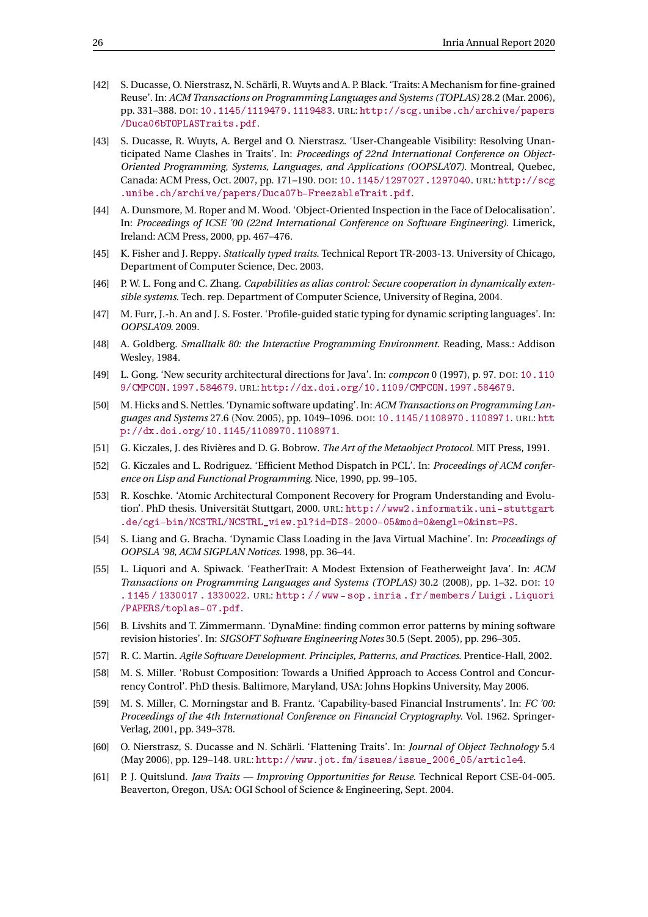- [42] S. Ducasse, O. Nierstrasz, N. Schärli, R. Wuyts and A. P. Black. 'Traits: A Mechanism for fine-grained Reuse'. In: *ACM Transactions on Programming Languages and Systems (TOPLAS)* 28.2 (Mar. 2006), pp. 331–388. DOI: [10.1145/1119479.1119483](https://doi.org/10.1145/1119479.1119483). URL: [http://scg.unibe.ch/archive/papers](http://scg.unibe.ch/archive/papers/Duca06bTOPLASTraits.pdf) [/Duca06bTOPLASTraits.pdf](http://scg.unibe.ch/archive/papers/Duca06bTOPLASTraits.pdf).
- [43] S. Ducasse, R. Wuyts, A. Bergel and O. Nierstrasz. 'User-Changeable Visibility: Resolving Unanticipated Name Clashes in Traits'. In: *Proceedings of 22nd International Conference on Object-Oriented Programming, Systems, Languages, and Applications (OOPSLA'07)*. Montreal, Quebec, Canada: ACM Press, Oct. 2007, pp. 171–190. DOI: [10.1145/1297027.1297040](https://doi.org/10.1145/1297027.1297040). URL: [http://scg](http://scg.unibe.ch/archive/papers/Duca07b-FreezableTrait.pdf) [.unibe.ch/archive/papers/Duca07b-FreezableTrait.pdf](http://scg.unibe.ch/archive/papers/Duca07b-FreezableTrait.pdf).
- [44] A. Dunsmore, M. Roper and M. Wood. 'Object-Oriented Inspection in the Face of Delocalisation'. In: *Proceedings of ICSE '00 (22nd International Conference on Software Engineering)*. Limerick, Ireland: ACM Press, 2000, pp. 467–476.
- [45] K. Fisher and J. Reppy. *Statically typed traits*. Technical Report TR-2003-13. University of Chicago, Department of Computer Science, Dec. 2003.
- [46] P. W. L. Fong and C. Zhang. *Capabilities as alias control: Secure cooperation in dynamically extensible systems*. Tech. rep. Department of Computer Science, University of Regina, 2004.
- [47] M. Furr, J.-h. An and J. S. Foster. 'Profile-guided static typing for dynamic scripting languages'. In: *OOPSLA'09*. 2009.
- [48] A. Goldberg. *Smalltalk 80: the Interactive Programming Environment*. Reading, Mass.: Addison Wesley, 1984.
- [49] L. Gong. 'New security architectural directions for Java'. In: *compcon* 0 (1997), p. 97. DOI: [10.110](https://doi.org/10.1109/CMPCON.1997.584679) [9/CMPCON.1997.584679](https://doi.org/10.1109/CMPCON.1997.584679). URL: <http://dx.doi.org/10.1109/CMPCON.1997.584679>.
- [50] M. Hicks and S. Nettles. 'Dynamic software updating'. In: *ACM Transactions on Programming Languages and Systems* 27.6 (Nov. 2005), pp. 1049–1096. DOI: [10.1145/1108970.1108971](https://doi.org/10.1145/1108970.1108971). URL: [htt](http://dx.doi.org/10.1145/1108970.1108971) [p://dx.doi.org/10.1145/1108970.1108971](http://dx.doi.org/10.1145/1108970.1108971).
- [51] G. Kiczales, J. des Rivières and D. G. Bobrow. *The Art of the Metaobject Protocol*. MIT Press, 1991.
- [52] G. Kiczales and L. Rodriguez. 'Efficient Method Dispatch in PCL'. In: *Proceedings of ACM conference on Lisp and Functional Programming*. Nice, 1990, pp. 99–105.
- [53] R. Koschke. 'Atomic Architectural Component Recovery for Program Understanding and Evolution'. PhD thesis. Universität Stuttgart, 2000. URL: [http://www2.informatik.uni-stuttgart](http://www2.informatik.uni-stuttgart.de/cgi-bin/NCSTRL/NCSTRL_view.pl?id=DIS-2000-05&mod=0&engl=0&inst=PS) [.de/cgi-bin/NCSTRL/NCSTRL\\_view.pl?id=DIS-2000-05&mod=0&engl=0&inst=PS](http://www2.informatik.uni-stuttgart.de/cgi-bin/NCSTRL/NCSTRL_view.pl?id=DIS-2000-05&mod=0&engl=0&inst=PS).
- [54] S. Liang and G. Bracha. 'Dynamic Class Loading in the Java Virtual Machine'. In: *Proceedings of OOPSLA '98, ACM SIGPLAN Notices*. 1998, pp. 36–44.
- [55] L. Liquori and A. Spiwack. 'FeatherTrait: A Modest Extension of Featherweight Java'. In: *ACM Transactions on Programming Languages and Systems (TOPLAS)* 30.2 (2008), pp. 1–32. DOI: [10](https://doi.org/10.1145/1330017.1330022) [. 1145 / 1330017 . 1330022](https://doi.org/10.1145/1330017.1330022). URL: [http : / / www - sop . inria . fr / members / Luigi . Liquori](http://www-sop.inria.fr/members/Luigi.Liquori/PAPERS/toplas-07.pdf) [/PAPERS/toplas-07.pdf](http://www-sop.inria.fr/members/Luigi.Liquori/PAPERS/toplas-07.pdf).
- [56] B. Livshits and T. Zimmermann. 'DynaMine: finding common error patterns by mining software revision histories'. In: *SIGSOFT Software Engineering Notes* 30.5 (Sept. 2005), pp. 296–305.
- [57] R. C. Martin. *Agile Software Development. Principles, Patterns, and Practices*. Prentice-Hall, 2002.
- [58] M. S. Miller. 'Robust Composition: Towards a Unified Approach to Access Control and Concurrency Control'. PhD thesis. Baltimore, Maryland, USA: Johns Hopkins University, May 2006.
- [59] M. S. Miller, C. Morningstar and B. Frantz. 'Capability-based Financial Instruments'. In: *FC '00: Proceedings of the 4th International Conference on Financial Cryptography*. Vol. 1962. Springer-Verlag, 2001, pp. 349–378.
- [60] O. Nierstrasz, S. Ducasse and N. Schärli. 'Flattening Traits'. In: *Journal of Object Technology* 5.4 (May 2006), pp. 129–148. URL: [http://www.jot.fm/issues/issue\\_2006\\_05/article4](http://www.jot.fm/issues/issue_2006_05/article4).
- [61] P. J. Quitslund. *Java Traits Improving Opportunities for Reuse*. Technical Report CSE-04-005. Beaverton, Oregon, USA: OGI School of Science & Engineering, Sept. 2004.